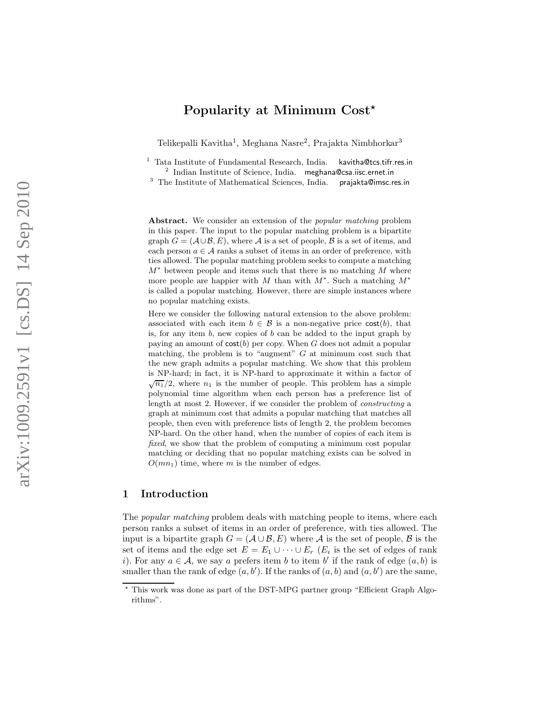# Popularity at Minimum Cost<sup>\*</sup>

Telikepalli Kavitha<sup>1</sup>, Meghana Nasre<sup>2</sup>, Prajakta Nimbhorkar<sup>3</sup>

<sup>1</sup> Tata Institute of Fundamental Research, India. kavitha@tcs.tifr.res.in <sup>2</sup> Indian Institute of Science, India. meghana@csa.iisc.ernet.in

<sup>3</sup> The Institute of Mathematical Sciences, India. prajakta@imsc.res.in

Abstract. We consider an extension of the *popular matching* problem in this paper. The input to the popular matching problem is a bipartite graph  $G = (\mathcal{A} \cup \mathcal{B}, E)$ , where  $\mathcal{A}$  is a set of people,  $\mathcal{B}$  is a set of items, and each person  $a \in \mathcal{A}$  ranks a subset of items in an order of preference, with ties allowed. The popular matching problem seeks to compute a matching  $M^*$  between people and items such that there is no matching M where more people are happier with M than with  $M^*$ . Such a matching  $M^*$ is called a popular matching. However, there are simple instances where no popular matching exists.

Here we consider the following natural extension to the above problem: associated with each item  $b \in \mathcal{B}$  is a non-negative price  $cost(b)$ , that is, for any item  $b$ , new copies of  $b$  can be added to the input graph by paying an amount of  $cost(b)$  per copy. When G does not admit a popular matching, the problem is to "augment"  $G$  at minimum cost such that the new graph admits a popular matching. We show that this problem is NP-hard; in fact, it is NP-hard to approximate it within a factor of  $\sqrt{n_1}/2$ , where  $n_1$  is the number of people. This problem has a simple polynomial time algorithm when each person has a preference list of length at most 2. However, if we consider the problem of constructing a graph at minimum cost that admits a popular matching that matches all people, then even with preference lists of length 2, the problem becomes NP-hard. On the other hand, when the number of copies of each item is fixed, we show that the problem of computing a minimum cost popular matching or deciding that no popular matching exists can be solved in  $O(mn_1)$  time, where m is the number of edges.

# 1 Introduction

The *popular matching* problem deals with matching people to items, where each person ranks a subset of items in an order of preference, with ties allowed. The input is a bipartite graph  $G = (\mathcal{A} \cup \mathcal{B}, E)$  where  $\mathcal{A}$  is the set of people,  $\mathcal{B}$  is the set of items and the edge set  $E = E_1 \cup \cdots \cup E_r$  ( $E_i$  is the set of edges of rank i). For any  $a \in \mathcal{A}$ , we say a prefers item b to item b' if the rank of edge  $(a, b)$  is smaller than the rank of edge  $(a, b')$ . If the ranks of  $(a, b)$  and  $(a, b')$  are the same,

<sup>⋆</sup> This work was done as part of the DST-MPG partner group "Efficient Graph Algorithms".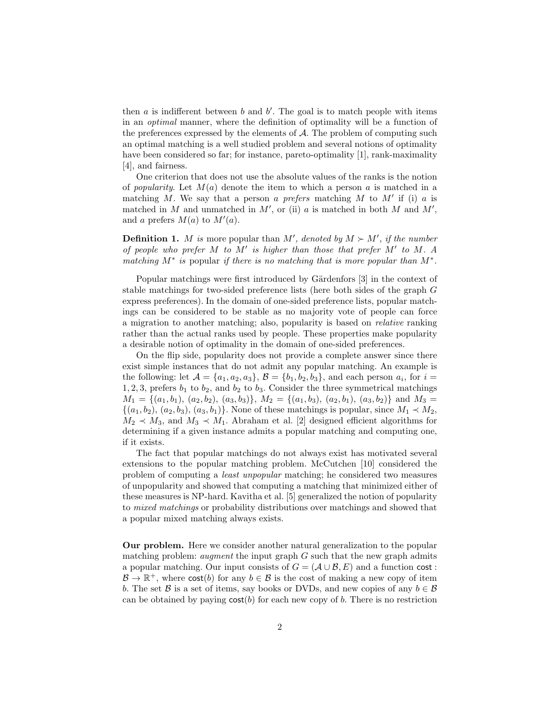then  $a$  is indifferent between  $b$  and  $b'$ . The goal is to match people with items in an optimal manner, where the definition of optimality will be a function of the preferences expressed by the elements of  $A$ . The problem of computing such an optimal matching is a well studied problem and several notions of optimality have been considered so far; for instance, pareto-optimality [1], rank-maximality [4], and fairness.

One criterion that does not use the absolute values of the ranks is the notion of *popularity*. Let  $M(a)$  denote the item to which a person a is matched in a matching M. We say that a person a prefers matching M to  $M'$  if (i) a is matched in  $M$  and unmatched in  $M'$ , or (ii)  $a$  is matched in both  $M$  and  $M'$ , and a prefers  $M(a)$  to  $M'(a)$ .

**Definition 1.** M is more popular than M', denoted by  $M \succ M'$ , if the number of people who prefer M to M′ is higher than those that prefer M′ to M. A matching  $M^*$  is popular if there is no matching that is more popular than  $M^*$ .

Popular matchings were first introduced by Gärdenfors [3] in the context of stable matchings for two-sided preference lists (here both sides of the graph G express preferences). In the domain of one-sided preference lists, popular matchings can be considered to be stable as no majority vote of people can force a migration to another matching; also, popularity is based on relative ranking rather than the actual ranks used by people. These properties make popularity a desirable notion of optimality in the domain of one-sided preferences.

On the flip side, popularity does not provide a complete answer since there exist simple instances that do not admit any popular matching. An example is the following: let  $A = \{a_1, a_2, a_3\}, B = \{b_1, b_2, b_3\},\$ and each person  $a_i$ , for  $i =$ 1, 2, 3, prefers  $b_1$  to  $b_2$ , and  $b_2$  to  $b_3$ . Consider the three symmetrical matchings  $M_1 = \{(a_1, b_1), (a_2, b_2), (a_3, b_3)\}, M_2 = \{(a_1, b_3), (a_2, b_1), (a_3, b_2)\}$  and  $M_3 =$  $\{(a_1, b_2), (a_2, b_3), (a_3, b_1)\}\.$  None of these matchings is popular, since  $M_1 \prec M_2$ ,  $M_2 \prec M_3$ , and  $M_3 \prec M_1$ . Abraham et al. [2] designed efficient algorithms for determining if a given instance admits a popular matching and computing one, if it exists.

The fact that popular matchings do not always exist has motivated several extensions to the popular matching problem. McCutchen [10] considered the problem of computing a least unpopular matching; he considered two measures of unpopularity and showed that computing a matching that minimized either of these measures is NP-hard. Kavitha et al. [5] generalized the notion of popularity to mixed matchings or probability distributions over matchings and showed that a popular mixed matching always exists.

Our problem. Here we consider another natural generalization to the popular matching problem: *augment* the input graph  $G$  such that the new graph admits a popular matching. Our input consists of  $G = (\mathcal{A} \cup \mathcal{B}, E)$  and a function cost :  $\mathcal{B} \to \mathbb{R}^+$ , where  $\text{cost}(b)$  for any  $b \in \mathcal{B}$  is the cost of making a new copy of item b. The set B is a set of items, say books or DVDs, and new copies of any  $b \in \mathcal{B}$ can be obtained by paying  $cost(b)$  for each new copy of b. There is no restriction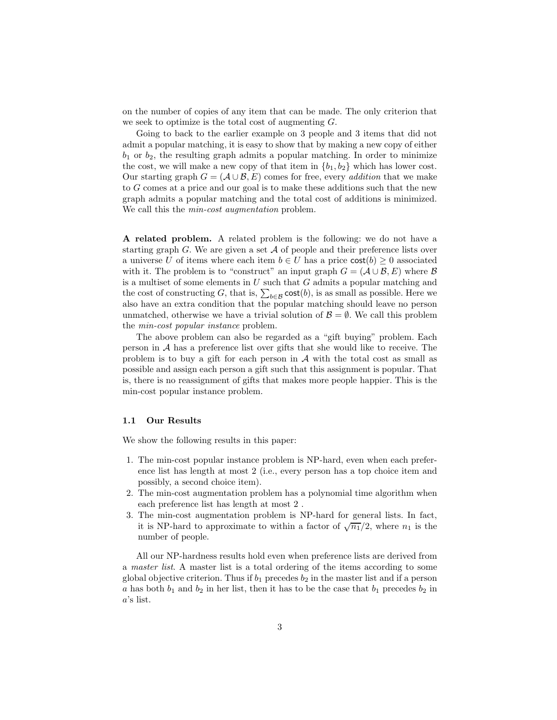on the number of copies of any item that can be made. The only criterion that we seek to optimize is the total cost of augmenting G.

Going to back to the earlier example on 3 people and 3 items that did not admit a popular matching, it is easy to show that by making a new copy of either  $b_1$  or  $b_2$ , the resulting graph admits a popular matching. In order to minimize the cost, we will make a new copy of that item in  ${b_1, b_2}$  which has lower cost. Our starting graph  $G = (\mathcal{A} \cup \mathcal{B}, E)$  comes for free, every *addition* that we make to G comes at a price and our goal is to make these additions such that the new graph admits a popular matching and the total cost of additions is minimized. We call this the *min-cost augmentation* problem.

A related problem. A related problem is the following: we do not have a starting graph G. We are given a set  $A$  of people and their preference lists over a universe U of items where each item  $b \in U$  has a price  $cost(b) \geq 0$  associated with it. The problem is to "construct" an input graph  $G = (\mathcal{A} \cup \mathcal{B}, E)$  where  $\mathcal{B}$ is a multiset of some elements in  $U$  such that  $G$  admits a popular matching and the cost of constructing G, that is,  $\sum_{b \in \mathcal{B}} \text{cost}(b)$ , is as small as possible. Here we also have an extra condition that the popular matching should leave no person unmatched, otherwise we have a trivial solution of  $\mathcal{B} = \emptyset$ . We call this problem the min-cost popular instance problem.

The above problem can also be regarded as a "gift buying" problem. Each person in A has a preference list over gifts that she would like to receive. The problem is to buy a gift for each person in  $A$  with the total cost as small as possible and assign each person a gift such that this assignment is popular. That is, there is no reassignment of gifts that makes more people happier. This is the min-cost popular instance problem.

### 1.1 Our Results

We show the following results in this paper:

- 1. The min-cost popular instance problem is NP-hard, even when each preference list has length at most 2 (i.e., every person has a top choice item and possibly, a second choice item).
- 2. The min-cost augmentation problem has a polynomial time algorithm when each preference list has length at most 2 .
- 3. The min-cost augmentation problem is NP-hard for general lists. In fact, it is NP-hard to approximate to within a factor of  $\sqrt{n_1}/2$ , where  $n_1$  is the number of people.

All our NP-hardness results hold even when preference lists are derived from a master list. A master list is a total ordering of the items according to some global objective criterion. Thus if  $b_1$  precedes  $b_2$  in the master list and if a person a has both  $b_1$  and  $b_2$  in her list, then it has to be the case that  $b_1$  precedes  $b_2$  in a's list.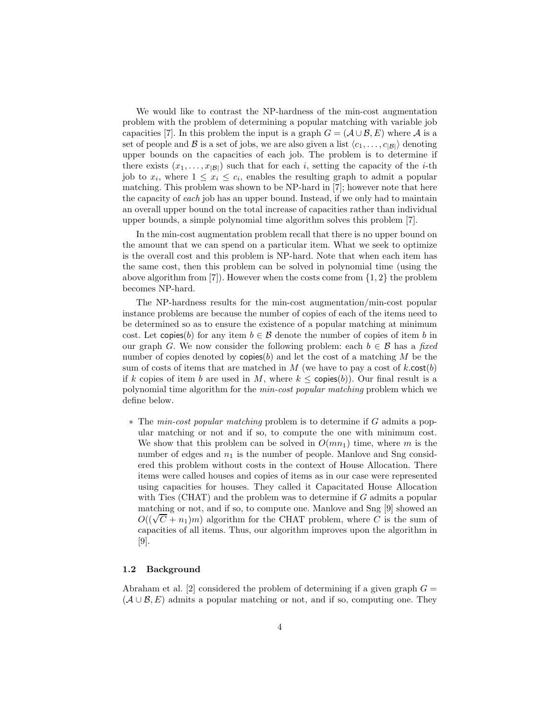We would like to contrast the NP-hardness of the min-cost augmentation problem with the problem of determining a popular matching with variable job capacities [7]. In this problem the input is a graph  $G = (\mathcal{A} \cup \mathcal{B}, E)$  where  $\mathcal{A}$  is a set of people and B is a set of jobs, we are also given a list  $\langle c_1, \ldots, c_{|B|} \rangle$  denoting upper bounds on the capacities of each job. The problem is to determine if there exists  $(x_1, \ldots, x_{|\mathcal{B}|})$  such that for each i, setting the capacity of the i-th job to  $x_i$ , where  $1 \leq x_i \leq c_i$ , enables the resulting graph to admit a popular matching. This problem was shown to be NP-hard in [7]; however note that here the capacity of each job has an upper bound. Instead, if we only had to maintain an overall upper bound on the total increase of capacities rather than individual upper bounds, a simple polynomial time algorithm solves this problem [7].

In the min-cost augmentation problem recall that there is no upper bound on the amount that we can spend on a particular item. What we seek to optimize is the overall cost and this problem is NP-hard. Note that when each item has the same cost, then this problem can be solved in polynomial time (using the above algorithm from [7]. However when the costs come from  $\{1,2\}$  the problem becomes NP-hard.

The NP-hardness results for the min-cost augmentation/min-cost popular instance problems are because the number of copies of each of the items need to be determined so as to ensure the existence of a popular matching at minimum cost. Let copies(b) for any item  $b \in \mathcal{B}$  denote the number of copies of item b in our graph G. We now consider the following problem: each  $b \in \mathcal{B}$  has a fixed number of copies denoted by copies(b) and let the cost of a matching  $M$  be the sum of costs of items that are matched in  $M$  (we have to pay a cost of k.cost(b) if k copies of item b are used in M, where  $k \leq$  copies(b)). Our final result is a polynomial time algorithm for the min-cost popular matching problem which we define below.

∗ The min-cost popular matching problem is to determine if G admits a popular matching or not and if so, to compute the one with minimum cost. We show that this problem can be solved in  $O(mn_1)$  time, where m is the number of edges and  $n_1$  is the number of people. Manlove and Sng considered this problem without costs in the context of House Allocation. There items were called houses and copies of items as in our case were represented using capacities for houses. They called it Capacitated House Allocation with Ties (CHAT) and the problem was to determine if  $G$  admits a popular matching or not, and if so, to compute one. Manlove and Sng [9] showed an  $O((\sqrt{C} + n_1)m)$  algorithm for the CHAT problem, where C is the sum of capacities of all items. Thus, our algorithm improves upon the algorithm in [9].

### 1.2 Background

Abraham et al. [2] considered the problem of determining if a given graph  $G =$  $(\mathcal{A} \cup \mathcal{B}, E)$  admits a popular matching or not, and if so, computing one. They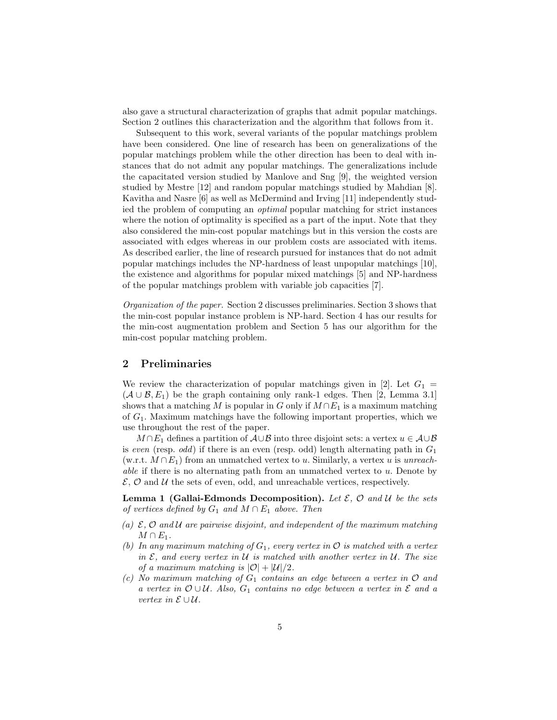also gave a structural characterization of graphs that admit popular matchings. Section 2 outlines this characterization and the algorithm that follows from it.

Subsequent to this work, several variants of the popular matchings problem have been considered. One line of research has been on generalizations of the popular matchings problem while the other direction has been to deal with instances that do not admit any popular matchings. The generalizations include the capacitated version studied by Manlove and Sng [9], the weighted version studied by Mestre [12] and random popular matchings studied by Mahdian [8]. Kavitha and Nasre [6] as well as McDermind and Irving [11] independently studied the problem of computing an optimal popular matching for strict instances where the notion of optimality is specified as a part of the input. Note that they also considered the min-cost popular matchings but in this version the costs are associated with edges whereas in our problem costs are associated with items. As described earlier, the line of research pursued for instances that do not admit popular matchings includes the NP-hardness of least unpopular matchings [10], the existence and algorithms for popular mixed matchings [5] and NP-hardness of the popular matchings problem with variable job capacities [7].

Organization of the paper. Section 2 discusses preliminaries. Section 3 shows that the min-cost popular instance problem is NP-hard. Section 4 has our results for the min-cost augmentation problem and Section 5 has our algorithm for the min-cost popular matching problem.

# 2 Preliminaries

We review the characterization of popular matchings given in [2]. Let  $G_1$  =  $(A \cup B, E_1)$  be the graph containing only rank-1 edges. Then [2, Lemma 3.1] shows that a matching M is popular in G only if  $M \cap E_1$  is a maximum matching of  $G_1$ . Maximum matchings have the following important properties, which we use throughout the rest of the paper.

 $M \cap E_1$  defines a partition of  $\mathcal{A} \cup \mathcal{B}$  into three disjoint sets: a vertex  $u \in \mathcal{A} \cup \mathcal{B}$ is even (resp. odd) if there is an even (resp. odd) length alternating path in  $G_1$  $(w.r.t. M \cap E_1)$  from an unmatched vertex to u. Similarly, a vertex u is unreach*able* if there is no alternating path from an unmatched vertex to  $u$ . Denote by  $\mathcal{E}, \mathcal{O}$  and  $\mathcal{U}$  the sets of even, odd, and unreachable vertices, respectively.

**Lemma 1 (Gallai-Edmonds Decomposition).** Let  $\mathcal{E}, \mathcal{O}$  and  $\mathcal{U}$  be the sets of vertices defined by  $G_1$  and  $M \cap E_1$  above. Then

- (a)  $\mathcal{E}, \mathcal{O}$  and  $\mathcal{U}$  are pairwise disjoint, and independent of the maximum matching  $M \cap E_1$ .
- (b) In any maximum matching of  $G_1$ , every vertex in  $\mathcal O$  is matched with a vertex in  $\mathcal E$ , and every vertex in U is matched with another vertex in U. The size of a maximum matching is  $|\mathcal{O}| + |\mathcal{U}|/2$ .
- (c) No maximum matching of  $G_1$  contains an edge between a vertex in  $O$  and a vertex in  $\mathcal{O} \cup \mathcal{U}$ . Also,  $G_1$  contains no edge between a vertex in  $\mathcal{E}$  and a vertex in E ∪ U.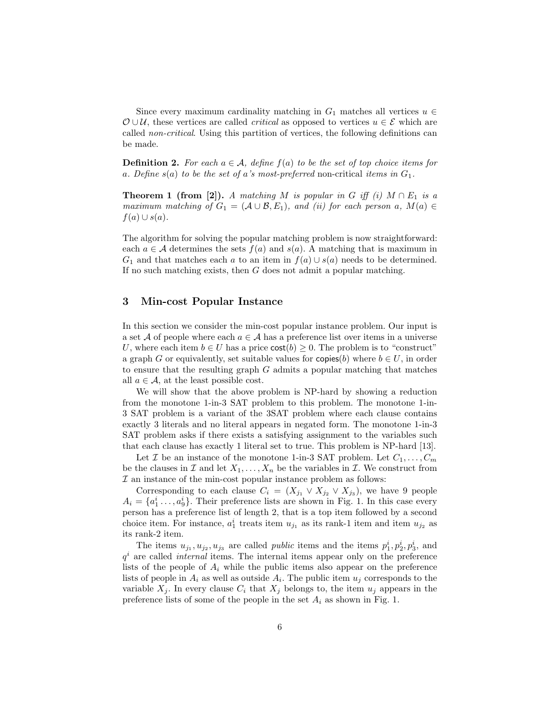Since every maximum cardinality matching in  $G_1$  matches all vertices  $u \in$  $\mathcal{O} \cup \mathcal{U}$ , these vertices are called *critical* as opposed to vertices  $u \in \mathcal{E}$  which are called non-critical. Using this partition of vertices, the following definitions can be made.

**Definition 2.** For each  $a \in \mathcal{A}$ , define  $f(a)$  to be the set of top choice items for a. Define  $s(a)$  to be the set of a's most-preferred non-critical items in  $G_1$ .

**Theorem 1 (from [2]).** A matching M is popular in G iff (i)  $M \cap E_1$  is a maximum matching of  $G_1 = (\mathcal{A} \cup \mathcal{B}, E_1)$ , and (ii) for each person a,  $M(a) \in$  $f(a) \cup s(a)$ .

The algorithm for solving the popular matching problem is now straightforward: each  $a \in \mathcal{A}$  determines the sets  $f(a)$  and  $s(a)$ . A matching that is maximum in  $G_1$  and that matches each a to an item in  $f(a) \cup s(a)$  needs to be determined. If no such matching exists, then  $G$  does not admit a popular matching.

# 3 Min-cost Popular Instance

In this section we consider the min-cost popular instance problem. Our input is a set A of people where each  $a \in \mathcal{A}$  has a preference list over items in a universe U, where each item  $b \in U$  has a price  $\text{cost}(b) \geq 0$ . The problem is to "construct" a graph G or equivalently, set suitable values for copies(b) where  $b \in U$ , in order to ensure that the resulting graph  $G$  admits a popular matching that matches all  $a \in \mathcal{A}$ , at the least possible cost.

We will show that the above problem is NP-hard by showing a reduction from the monotone 1-in-3 SAT problem to this problem. The monotone 1-in-3 SAT problem is a variant of the 3SAT problem where each clause contains exactly 3 literals and no literal appears in negated form. The monotone 1-in-3 SAT problem asks if there exists a satisfying assignment to the variables such that each clause has exactly 1 literal set to true. This problem is NP-hard [13].

Let Z be an instance of the monotone 1-in-3 SAT problem. Let  $C_1, \ldots, C_m$ be the clauses in  $\mathcal I$  and let  $X_1, \ldots, X_n$  be the variables in  $\mathcal I$ . We construct from  $I$  an instance of the min-cost popular instance problem as follows:

Corresponding to each clause  $C_i = (X_{j_1} \vee X_{j_2} \vee X_{j_3})$ , we have 9 people  $A_i = \{a_1^i, \ldots, a_9^i\}$ . Their preference lists are shown in Fig. 1. In this case every person has a preference list of length 2, that is a top item followed by a second choice item. For instance,  $a_1^i$  treats item  $u_{j_1}$  as its rank-1 item and item  $u_{j_2}$  as its rank-2 item.

The items  $u_{j_1}, u_{j_2}, u_{j_3}$  are called *public* items and the items  $p_1^i, p_2^i, p_3^i$ , and  $q<sup>i</sup>$  are called *internal* items. The internal items appear only on the preference lists of the people of  $A_i$  while the public items also appear on the preference lists of people in  $A_i$  as well as outside  $A_i$ . The public item  $u_j$  corresponds to the variable  $X_j$ . In every clause  $C_i$  that  $X_j$  belongs to, the item  $u_j$  appears in the preference lists of some of the people in the set  $A_i$  as shown in Fig. 1.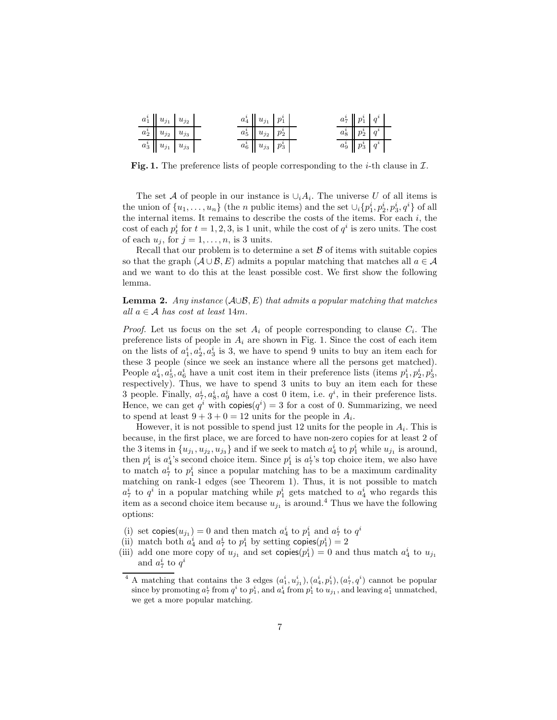| $a_1^i\parallel u_{j_1}\parallel u_{j_2}$ |  | $a_4^i \mid u_{j_1} \mid p_1^i \mid$ |  | $a_7^i \mid p_1^i \mid q^i \mid$ |  |
|-------------------------------------------|--|--------------------------------------|--|----------------------------------|--|
| $a_2^i \mid u_{j_2} \mid u_{j_3}$         |  | $a_5^i\mid u_{j_2}\mid p_2^i\mid$    |  | $a^i_8 \mid p^i_2 \mid q^i \mid$ |  |
| $a_3^i \mid u_{j_1} \mid u_{j_3} \mid$    |  | $a^i_6 \mid u_{j_3} \mid p^i_3$      |  | $a_9^i \mid p_3^i \mid q^i$      |  |

Fig. 1. The preference lists of people corresponding to the *i*-th clause in  $I$ .

The set A of people in our instance is  $\cup_i A_i$ . The universe U of all items is the union of  $\{u_1, \ldots, u_n\}$  (the *n* public items) and the set  $\cup_i \{p_1^i, p_2^i, p_3^i, q^i\}$  of all the internal items. It remains to describe the costs of the items. For each  $i$ , the cost of each  $p_t^i$  for  $t = 1, 2, 3$ , is 1 unit, while the cost of  $q^i$  is zero units. The cost of each  $u_j$ , for  $j = 1, \ldots, n$ , is 3 units.

Recall that our problem is to determine a set  $\beta$  of items with suitable copies so that the graph  $(A\cup B, E)$  admits a popular matching that matches all  $a \in A$ and we want to do this at the least possible cost. We first show the following lemma.

**Lemma 2.** Any instance  $(A \cup B, E)$  that admits a popular matching that matches all  $a \in A$  has cost at least 14m.

*Proof.* Let us focus on the set  $A_i$  of people corresponding to clause  $C_i$ . The preference lists of people in  $A_i$  are shown in Fig. 1. Since the cost of each item on the lists of  $a_1^i, a_2^i, a_3^i$  is 3, we have to spend 9 units to buy an item each for these 3 people (since we seek an instance where all the persons get matched). People  $a_4^i, a_5^i, a_6^i$  have a unit cost item in their preference lists (items  $p_1^i, p_2^i, p_3^i$ , respectively). Thus, we have to spend 3 units to buy an item each for these 3 people. Finally,  $a_7^i, a_8^i, a_9^i$  have a cost 0 item, i.e.  $q^i$ , in their preference lists. Hence, we can get  $q^i$  with  $\text{copies}(q^i) = 3$  for a cost of 0. Summarizing, we need to spend at least  $9 + 3 + 0 = 12$  units for the people in  $A_i$ .

However, it is not possible to spend just 12 units for the people in  $A_i$ . This is because, in the first place, we are forced to have non-zero copies for at least 2 of the 3 items in  $\{u_{j_1}, u_{j_2}, u_{j_3}\}$  and if we seek to match  $a_4^i$  to  $p_1^i$  while  $u_{j_1}$  is around, then  $p_1^i$  is  $a_4^i$ 's second choice item. Since  $p_1^i$  is  $a_7^i$ 's top choice item, we also have to match  $a_7^i$  to  $p_1^i$  since a popular matching has to be a maximum cardinality matching on rank-1 edges (see Theorem 1). Thus, it is not possible to match  $a_7^i$  to  $q^i$  in a popular matching while  $p_1^i$  gets matched to  $a_4^i$  who regards this item as a second choice item because  $u_{j_1}$  is around.<sup>4</sup> Thus we have the following options:

- (i) set copies  $(u_{j_1}) = 0$  and then match  $a_4^i$  to  $p_1^i$  and  $a_7^i$  to  $q^i$
- (ii) match both  $a_4^i$  and  $a_7^i$  to  $p_1^i$  by setting copies $(p_1^i) = 2$
- (iii) add one more copy of  $u_{j_1}$  and set copies $(p_1^i) = 0$  and thus match  $a_4^i$  to  $u_{j_1}$ and  $a_7^i$  to  $q^i$

<sup>&</sup>lt;sup>4</sup> A matching that contains the 3 edges  $(a_1^i, u_{j_1}^i), (a_4^i, p_1^i), (a_7^i, q^i)$  cannot be popular since by promoting  $a_7^i$  from  $q^i$  to  $p_1^i$ , and  $a_4^i$  from  $p_1^i$  to  $u_{j_1}$ , and leaving  $a_1^i$  unmatched, we get a more popular matching.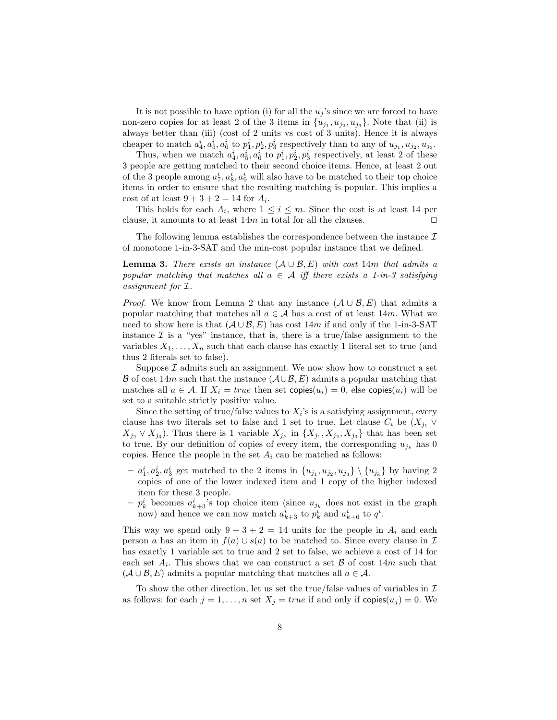It is not possible to have option (i) for all the  $u_j$ 's since we are forced to have non-zero copies for at least 2 of the 3 items in  $\{u_{j_1}, u_{j_2}, u_{j_3}\}$ . Note that (ii) is always better than (iii) (cost of 2 units vs cost of 3 units). Hence it is always cheaper to match  $a_4^i, a_5^i, a_6^i$  to  $p_1^i, p_2^i, p_3^i$  respectively than to any of  $u_{j_1}, u_{j_2}, u_{j_3}$ .

Thus, when we match  $a_4^i, a_5^i, a_6^i$  to  $p_1^i, p_2^i, p_3^i$  respectively, at least 2 of these 3 people are getting matched to their second choice items. Hence, at least 2 out of the 3 people among  $a_7^i, a_8^i, a_9^i$  will also have to be matched to their top choice items in order to ensure that the resulting matching is popular. This implies a cost of at least  $9 + 3 + 2 = 14$  for  $A_i$ .

This holds for each  $A_i$ , where  $1 \leq i \leq m$ . Since the cost is at least 14 per clause, it amounts to at least  $14m$  in total for all the clauses. □

The following lemma establishes the correspondence between the instance  $\mathcal I$ of monotone 1-in-3-SAT and the min-cost popular instance that we defined.

**Lemma 3.** There exists an instance  $(A \cup B, E)$  with cost 14m that admits a popular matching that matches all  $a \in \mathcal{A}$  iff there exists a 1-in-3 satisfying assignment for I.

*Proof.* We know from Lemma 2 that any instance  $(\mathcal{A} \cup \mathcal{B}, E)$  that admits a popular matching that matches all  $a \in \mathcal{A}$  has a cost of at least 14m. What we need to show here is that  $(A \cup B, E)$  has cost 14m if and only if the 1-in-3-SAT instance  $\mathcal I$  is a "yes" instance, that is, there is a true/false assignment to the variables  $X_1, \ldots, X_n$  such that each clause has exactly 1 literal set to true (and thus 2 literals set to false).

Suppose  $\mathcal I$  admits such an assignment. We now show how to construct a set B of cost 14m such that the instance  $(\mathcal{A}\cup\mathcal{B}, E)$  admits a popular matching that matches all  $a \in \mathcal{A}$ . If  $X_i = true$  then set copies $(u_i) = 0$ , else copies $(u_i)$  will be set to a suitable strictly positive value.

Since the setting of true/false values to  $X_i$ 's is a satisfying assignment, every clause has two literals set to false and 1 set to true. Let clause  $C_i$  be  $(X_{j_1} \vee$  $X_{j_2} \vee X_{j_3}$ ). Thus there is 1 variable  $X_{j_k}$  in  $\{X_{j_1}, X_{j_2}, X_{j_3}\}\)$  that has been set to true. By our definition of copies of every item, the corresponding  $u_{j_k}$  has 0 copies. Hence the people in the set  $A_i$  can be matched as follows:

- $a_1^i, a_2^i, a_3^i$  get matched to the 2 items in  $\{u_{j_1}, u_{j_2}, u_{j_3}\} \setminus \{u_{j_k}\}$  by having 2 copies of one of the lower indexed item and 1 copy of the higher indexed item for these 3 people.
- $-p_k^i$  becomes  $a_{k+3}^i$ 's top choice item (since  $u_{j_k}$  does not exist in the graph now) and hence we can now match  $a_{k+3}^i$  to  $p_k^i$  and  $a_{k+6}^i$  to  $q^i$ .

This way we spend only  $9 + 3 + 2 = 14$  units for the people in  $A_i$  and each person a has an item in  $f(a) \cup s(a)$  to be matched to. Since every clause in  $\mathcal I$ has exactly 1 variable set to true and 2 set to false, we achieve a cost of 14 for each set  $A_i$ . This shows that we can construct a set  $\beta$  of cost  $14m$  such that  $(A \cup B, E)$  admits a popular matching that matches all  $a \in \mathcal{A}$ .

To show the other direction, let us set the true/false values of variables in  $\mathcal I$ as follows: for each  $j = 1, ..., n$  set  $X_j = true$  if and only if  $\text{copies}(u_j) = 0$ . We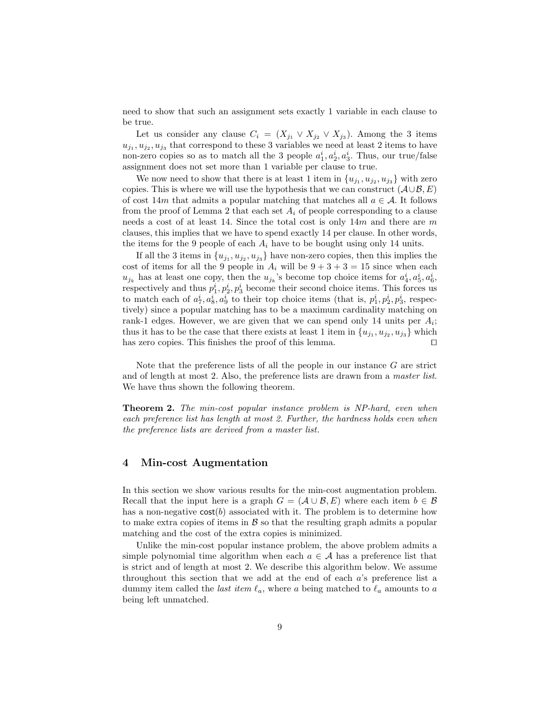need to show that such an assignment sets exactly 1 variable in each clause to be true.

Let us consider any clause  $C_i = (X_{j_1} \vee X_{j_2} \vee X_{j_3})$ . Among the 3 items  $u_{j_1}, u_{j_2}, u_{j_3}$  that correspond to these 3 variables we need at least 2 items to have non-zero copies so as to match all the 3 people  $a_1^i, a_2^i, a_3^i$ . Thus, our true/false assignment does not set more than 1 variable per clause to true.

We now need to show that there is at least 1 item in  $\{u_{j_1}, u_{j_2}, u_{j_3}\}\$  with zero copies. This is where we will use the hypothesis that we can construct  $(\mathcal{A}\cup\mathcal{B}, E)$ of cost 14m that admits a popular matching that matches all  $a \in \mathcal{A}$ . It follows from the proof of Lemma 2 that each set  $A_i$  of people corresponding to a clause needs a cost of at least 14. Since the total cost is only  $14m$  and there are m clauses, this implies that we have to spend exactly 14 per clause. In other words, the items for the 9 people of each  $A_i$  have to be bought using only 14 units.

If all the 3 items in  $\{u_{j_1}, u_{j_2}, u_{j_3}\}$  have non-zero copies, then this implies the cost of items for all the 9 people in  $A_i$  will be  $9 + 3 + 3 = 15$  since when each  $u_{j_k}$  has at least one copy, then the  $u_{j_k}$ 's become top choice items for  $a_4^i, a_5^i, a_6^i$ , respectively and thus  $p_1^i, p_2^i, p_3^i$  become their second choice items. This forces us to match each of  $a_7^i, a_8^i, a_9^i$  to their top choice items (that is,  $p_1^i, p_2^i, p_3^i$ , respectively) since a popular matching has to be a maximum cardinality matching on rank-1 edges. However, we are given that we can spend only 14 units per  $A_i$ ; thus it has to be the case that there exists at least 1 item in  $\{u_{j_1}, u_{j_2}, u_{j_3}\}\$  which has zero copies. This finishes the proof of this lemma. ⊓⊔

Note that the preference lists of all the people in our instance  $G$  are strict and of length at most 2. Also, the preference lists are drawn from a master list. We have thus shown the following theorem.

Theorem 2. The min-cost popular instance problem is NP-hard, even when each preference list has length at most 2. Further, the hardness holds even when the preference lists are derived from a master list.

### 4 Min-cost Augmentation

In this section we show various results for the min-cost augmentation problem. Recall that the input here is a graph  $G = (\mathcal{A} \cup \mathcal{B}, E)$  where each item  $b \in \mathcal{B}$ has a non-negative  $cost(b)$  associated with it. The problem is to determine how to make extra copies of items in  $\beta$  so that the resulting graph admits a popular matching and the cost of the extra copies is minimized.

Unlike the min-cost popular instance problem, the above problem admits a simple polynomial time algorithm when each  $a \in \mathcal{A}$  has a preference list that is strict and of length at most 2. We describe this algorithm below. We assume throughout this section that we add at the end of each a's preference list a dummy item called the *last item*  $\ell_a$ , where a being matched to  $\ell_a$  amounts to a being left unmatched.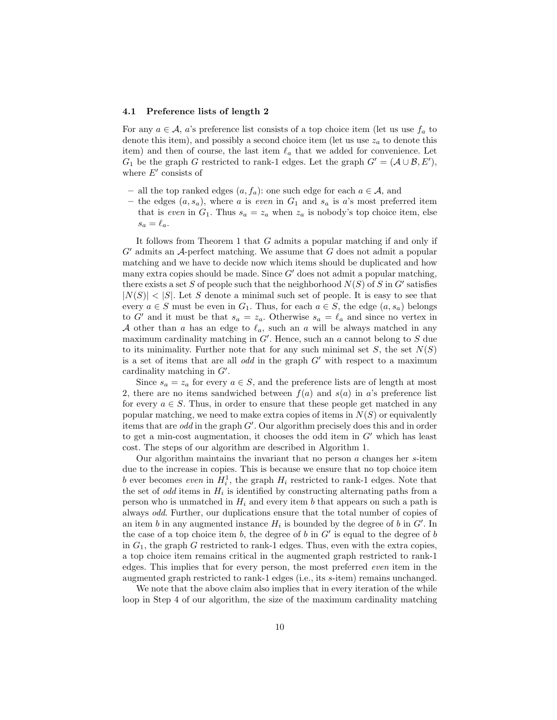#### 4.1 Preference lists of length 2

For any  $a \in \mathcal{A}$ , a's preference list consists of a top choice item (let us use  $f_a$  to denote this item), and possibly a second choice item (let us use  $z_a$  to denote this item) and then of course, the last item  $\ell_a$  that we added for convenience. Let  $G_1$  be the graph G restricted to rank-1 edges. Let the graph  $G' = (\mathcal{A} \cup \mathcal{B}, E')$ , where  $E'$  consists of

- all the top ranked edges  $(a, f_a)$ : one such edge for each  $a \in \mathcal{A}$ , and
- the edges  $(a, s_a)$ , where a is even in  $G_1$  and  $s_a$  is a's most preferred item that is even in  $G_1$ . Thus  $s_a = z_a$  when  $z_a$  is nobody's top choice item, else  $s_a = \ell_a.$

It follows from Theorem 1 that G admits a popular matching if and only if  $G'$  admits an A-perfect matching. We assume that G does not admit a popular matching and we have to decide now which items should be duplicated and how many extra copies should be made. Since  $G'$  does not admit a popular matching, there exists a set S of people such that the neighborhood  $N(S)$  of S in G' satisfies  $|N(S)| < |S|$ . Let S denote a minimal such set of people. It is easy to see that every  $a \in S$  must be even in  $G_1$ . Thus, for each  $a \in S$ , the edge  $(a, s_a)$  belongs to G' and it must be that  $s_a = z_a$ . Otherwise  $s_a = \ell_a$  and since no vertex in A other than a has an edge to  $\ell_a$ , such an a will be always matched in any maximum cardinality matching in  $G'$ . Hence, such an a cannot belong to S due to its minimality. Further note that for any such minimal set  $S$ , the set  $N(S)$ is a set of items that are all *odd* in the graph  $G'$  with respect to a maximum cardinality matching in  $G'$ .

Since  $s_a = z_a$  for every  $a \in S$ , and the preference lists are of length at most 2, there are no items sandwiched between  $f(a)$  and  $s(a)$  in a's preference list for every  $a \in S$ . Thus, in order to ensure that these people get matched in any popular matching, we need to make extra copies of items in  $N(S)$  or equivalently items that are odd in the graph G′ . Our algorithm precisely does this and in order to get a min-cost augmentation, it chooses the odd item in  $G'$  which has least cost. The steps of our algorithm are described in Algorithm 1.

Our algorithm maintains the invariant that no person  $\alpha$  changes her s-item due to the increase in copies. This is because we ensure that no top choice item b ever becomes even in  $H_i^1$ , the graph  $H_i$  restricted to rank-1 edges. Note that the set of *odd* items in  $H_i$  is identified by constructing alternating paths from a person who is unmatched in  $H_i$  and every item b that appears on such a path is always odd. Further, our duplications ensure that the total number of copies of an item b in any augmented instance  $H_i$  is bounded by the degree of b in  $G'$ . In the case of a top choice item  $b$ , the degree of  $b$  in  $G'$  is equal to the degree of  $b$ in  $G_1$ , the graph G restricted to rank-1 edges. Thus, even with the extra copies, a top choice item remains critical in the augmented graph restricted to rank-1 edges. This implies that for every person, the most preferred even item in the augmented graph restricted to rank-1 edges (i.e., its s-item) remains unchanged.

We note that the above claim also implies that in every iteration of the while loop in Step 4 of our algorithm, the size of the maximum cardinality matching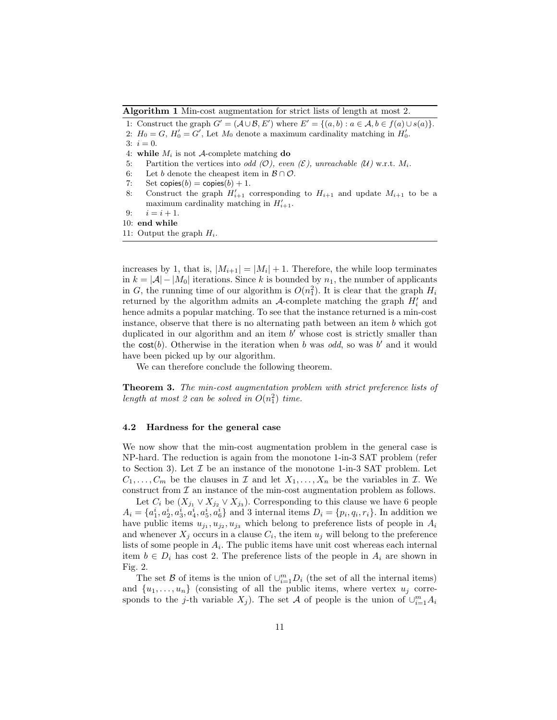Algorithm 1 Min-cost augmentation for strict lists of length at most 2.

1: Construct the graph  $G' = (\mathcal{A} \cup \mathcal{B}, E')$  where  $E' = \{(a, b) : a \in \mathcal{A}, b \in f(a) \cup s(a)\}.$ 

2:  $H_0 = G$ ,  $H'_0 = G'$ , Let  $M_0$  denote a maximum cardinality matching in  $H'_0$ .

3:  $i = 0$ .

- 4: while  $M_i$  is not A-complete matching **do**<br>5: Partition the vertices into *odd* (O), even
- 5: Partition the vertices into *odd* ( $\mathcal{O}$ ), even  $(\mathcal{E})$ , unreachable ( $\mathcal{U}$ ) w.r.t.  $M_i$ .<br>6. Let b denote the cheapest item in  $\mathcal{B} \cap \mathcal{O}$
- 6: Let b denote the cheapest item in  $\mathcal{B} \cap \mathcal{O}$ .<br>7: Set copies(b) = copies(b) + 1.
- Set copies(b) = copies(b) + 1.
- 8: Construct the graph  $H'_{i+1}$  corresponding to  $H_{i+1}$  and update  $M_{i+1}$  to be a maximum cardinality matching in  $H'_{i+1}$ .
- 9:  $i = i + 1$ .
- 10: end while
- 11: Output the graph  $H_i$ .

increases by 1, that is,  $|M_{i+1}| = |M_i| + 1$ . Therefore, the while loop terminates in  $k = |\mathcal{A}| - |M_0|$  iterations. Since k is bounded by  $n_1$ , the number of applicants in G, the running time of our algorithm is  $O(n_1^2)$ . It is clear that the graph  $H_i$ returned by the algorithm admits an  $A$ -complete matching the graph  $H'_{i}$  and hence admits a popular matching. To see that the instance returned is a min-cost instance, observe that there is no alternating path between an item  $b$  which got duplicated in our algorithm and an item  $b'$  whose cost is strictly smaller than the cost(b). Otherwise in the iteration when b was odd, so was b' and it would have been picked up by our algorithm.

We can therefore conclude the following theorem.

**Theorem 3.** The min-cost augmentation problem with strict preference lists of length at most 2 can be solved in  $O(n_1^2)$  time.

#### 4.2 Hardness for the general case

We now show that the min-cost augmentation problem in the general case is NP-hard. The reduction is again from the monotone 1-in-3 SAT problem (refer to Section 3). Let  $\mathcal I$  be an instance of the monotone 1-in-3 SAT problem. Let  $C_1, \ldots, C_m$  be the clauses in  $\mathcal I$  and let  $X_1, \ldots, X_n$  be the variables in  $\mathcal I$ . We construct from  $\mathcal I$  an instance of the min-cost augmentation problem as follows.

Let  $C_i$  be  $(X_{j_1} \vee X_{j_2} \vee X_{j_3})$ . Corresponding to this clause we have 6 people  $A_i = \{a_1^i, a_2^i, a_3^i, a_4^i, a_5^i, a_6^i\}$  and 3 internal items  $D_i = \{p_i, q_i, r_i\}$ . In addition we have public items  $u_{j_1}, u_{j_2}, u_{j_3}$  which belong to preference lists of people in  $A_i$ and whenever  $X_j$  occurs in a clause  $C_i$ , the item  $u_j$  will belong to the preference lists of some people in  $A_i$ . The public items have unit cost whereas each internal item  $b \in D_i$  has cost 2. The preference lists of the people in  $A_i$  are shown in Fig. 2.

The set B of items is the union of  $\cup_{i=1}^{m} D_i$  (the set of all the internal items) and  $\{u_1, \ldots, u_n\}$  (consisting of all the public items, where vertex  $u_j$  corresponds to the j-th variable  $X_j$ ). The set A of people is the union of  $\cup_{i=1}^m A_i$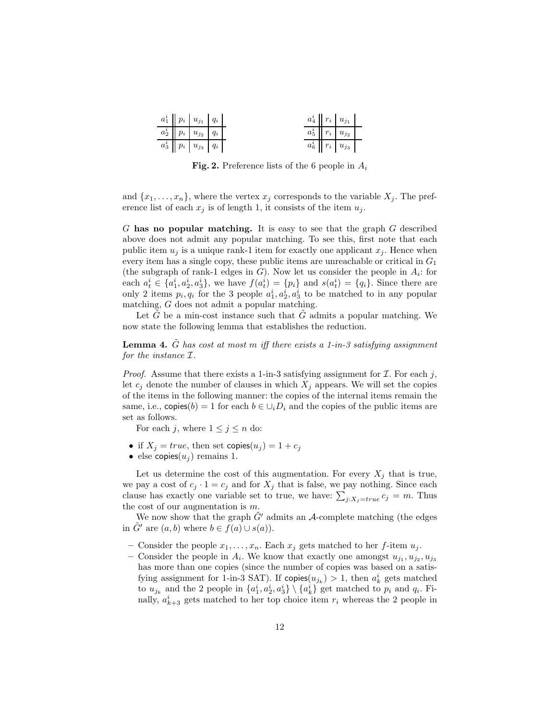|  | $a_1^i\parallel p_i\parallel u_{j_1}\parallel q_i$ |  |  | $a_4^i$ $r_i$ $u_{j_1}$            |  |
|--|----------------------------------------------------|--|--|------------------------------------|--|
|  | $a_2^i\parallel p_i\parallel u_{j_2}\parallel q_i$ |  |  | $a_5^i \mid r_i \mid u_{j_2} \mid$ |  |
|  | $a_3^i\parallel p_i\parallel u_{j_3}\parallel q_i$ |  |  | $a_6^i \mid r_i \mid u_{j_3}$      |  |

Fig. 2. Preference lists of the 6 people in  $A_i$ 

and  $\{x_1, \ldots, x_n\}$ , where the vertex  $x_j$  corresponds to the variable  $X_j$ . The preference list of each  $x_j$  is of length 1, it consists of the item  $u_j$ .

G has no popular matching. It is easy to see that the graph G described above does not admit any popular matching. To see this, first note that each public item  $u_j$  is a unique rank-1 item for exactly one applicant  $x_j$ . Hence when every item has a single copy, these public items are unreachable or critical in  $G_1$ (the subgraph of rank-1 edges in  $G$ ). Now let us consider the people in  $A_i$ : for each  $a_t^i \in \{a_1^i, a_2^i, a_3^i\}$ , we have  $f(a_t^i) = \{p_i\}$  and  $s(a_t^i) = \{q_i\}$ . Since there are only 2 items  $p_i, q_i$  for the 3 people  $a_1^i, a_2^i, a_3^i$  to be matched to in any popular matching, G does not admit a popular matching.

Let  $\tilde{G}$  be a min-cost instance such that  $\tilde{G}$  admits a popular matching. We now state the following lemma that establishes the reduction.

**Lemma 4.** G has cost at most m iff there exists a 1-in-3 satisfying assignment for the instance I.

*Proof.* Assume that there exists a 1-in-3 satisfying assignment for  $I$ . For each j, let  $c_j$  denote the number of clauses in which  $X_j$  appears. We will set the copies of the items in the following manner: the copies of the internal items remain the same, i.e., copies(b) = 1 for each  $b \in \bigcup_i D_i$  and the copies of the public items are set as follows.

For each j, where  $1 \leq j \leq n$  do:

- if  $X_j = true$ , then set copies $(u_j) = 1 + c_j$
- else copies $(u_i)$  remains 1.

Let us determine the cost of this augmentation. For every  $X_j$  that is true, we pay a cost of  $c_j \cdot 1 = c_j$  and for  $X_j$  that is false, we pay nothing. Since each clause has exactly one variable set to true, we have:  $\sum_{j:X_j=true} c_j = m$ . Thus the cost of our augmentation is  $m$ .

We now show that the graph  $\tilde{G}'$  admits an A-complete matching (the edges in G' are  $(a, b)$  where  $b \in f(a) \cup s(a)$ .

- Consider the people  $x_1, \ldots, x_n$ . Each  $x_j$  gets matched to her f-item  $u_j$ .
- Consider the people in  $A_i$ . We know that exactly one amongst  $u_{j_1}, u_{j_2}, u_{j_3}$ has more than one copies (since the number of copies was based on a satisfying assignment for 1-in-3 SAT). If  $\text{copies}(u_{j_k}) > 1$ , then  $a_k^i$  gets matched to  $u_{j_k}$  and the 2 people in  $\{a_1^i, a_2^i, a_3^i\} \setminus \{a_k^i\}$  get matched to  $p_i$  and  $q_i$ . Finally,  $a_{k+3}$  gets matched to her top choice item  $r_i$  whereas the 2 people in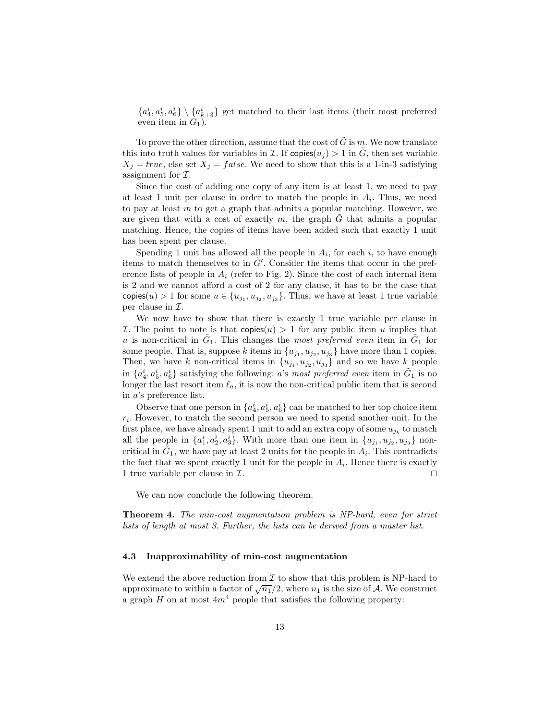$\{a_4^i, a_5^i, a_6^i\} \setminus \{a_{k+3}^i\}$  get matched to their last items (their most preferred even item in  $G_1$ ).

To prove the other direction, assume that the cost of  $\tilde{G}$  is m. We now translate this into truth values for variables in  $\mathcal I$ . If copies $(u_i) > 1$  in  $\tilde G$ , then set variable  $X_j = true$ , else set  $X_j = false$ . We need to show that this is a 1-in-3 satisfying assignment for  $I$ .

Since the cost of adding one copy of any item is at least 1, we need to pay at least 1 unit per clause in order to match the people in  $A_i$ . Thus, we need to pay at least  $m$  to get a graph that admits a popular matching. However, we are given that with a cost of exactly m, the graph  $\tilde{G}$  that admits a popular matching. Hence, the copies of items have been added such that exactly 1 unit has been spent per clause.

Spending 1 unit has allowed all the people in  $A_i$ , for each i, to have enough items to match themselves to in  $\tilde{G}'$ . Consider the items that occur in the preference lists of people in  $A_i$  (refer to Fig. 2). Since the cost of each internal item is 2 and we cannot afford a cost of 2 for any clause, it has to be the case that copies $(u) > 1$  for some  $u \in \{u_{j_1}, u_{j_2}, u_{j_3}\}$ . Thus, we have at least 1 true variable per clause in  $\mathcal{I}$ .

We now have to show that there is exactly 1 true variable per clause in *I*. The point to note is that copies $(u) > 1$  for any public item u implies that u is non-critical in  $\tilde{G}_1$ . This changes the most preferred even item in  $\tilde{G}_1$  for some people. That is, suppose k items in  $\{u_{j_1}, u_{j_2}, u_{j_3}\}$  have more than 1 copies. Then, we have k non-critical items in  $\{u_{j_1}, u_{j_2}, u_{j_3}\}$  and so we have  $k$  people in  $\{a_4^i, a_5^i, a_6^i\}$  satisfying the following: a's most preferred even item in  $\tilde{G}_1$  is no longer the last resort item  $\ell_a$ , it is now the non-critical public item that is second in a's preference list.

Observe that one person in  $\{a_4^i, a_5^i, a_6^i\}$  can be matched to her top choice item  $r_i$ . However, to match the second person we need to spend another unit. In the first place, we have already spent 1 unit to add an extra copy of some  $u_{j_k}$  to match all the people in  $\{a_1^i, a_2^i, a_3^i\}$ . With more than one item in  $\{u_{j_1}, u_{j_2}, u_{j_3}\}$  noncritical in  $\tilde{G}_1$ , we have pay at least 2 units for the people in  $A_i$ . This contradicts the fact that we spent exactly 1 unit for the people in  $A_i$ . Hence there is exactly 1 true variable per clause in  $\mathcal{I}$ . □

We can now conclude the following theorem.

Theorem 4. The min-cost augmentation problem is NP-hard, even for strict lists of length at most 3. Further, the lists can be derived from a master list.

#### 4.3 Inapproximability of min-cost augmentation

We extend the above reduction from  $\mathcal I$  to show that this problem is NP-hard to approximate to within a factor of  $\sqrt{n_1}/2$ , where  $n_1$  is the size of A. We construct a graph H on at most  $4m<sup>4</sup>$  people that satisfies the following property: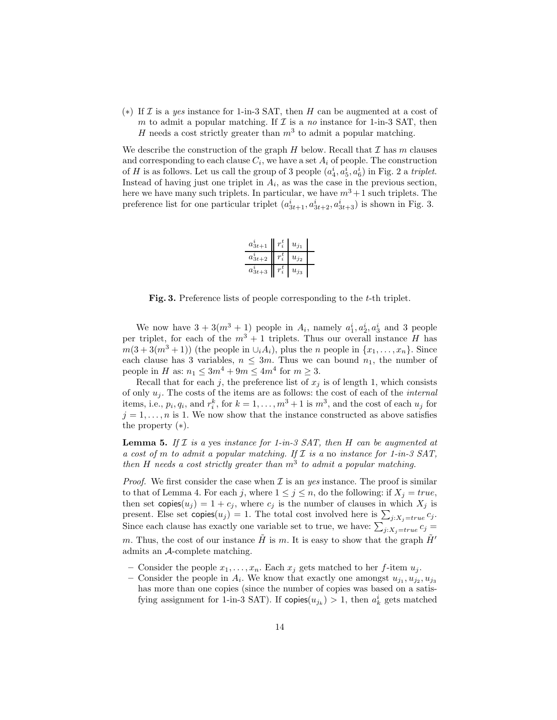(\*) If  $\mathcal I$  is a yes instance for 1-in-3 SAT, then H can be augmented at a cost of m to admit a popular matching. If  $\mathcal I$  is a no instance for 1-in-3 SAT, then H needs a cost strictly greater than  $m^3$  to admit a popular matching.

We describe the construction of the graph  $H$  below. Recall that  $\mathcal I$  has  $m$  clauses and corresponding to each clause  $C_i$ , we have a set  $A_i$  of people. The construction of H is as follows. Let us call the group of 3 people  $(a_4^i, a_5^i, a_6^i)$  in Fig. 2 a triplet. Instead of having just one triplet in  $A_i$ , as was the case in the previous section, here we have many such triplets. In particular, we have  $m^3 + 1$  such triplets. The preference list for one particular triplet  $(a_{3t+1}^i, a_{3t+2}^i, a_{3t+3}^i)$  is shown in Fig. 3.

| $a_{3t+1}$   | $u_{j_1}$ |  |
|--------------|-----------|--|
| $a_{3t+2}^i$ | $u_{j_2}$ |  |
| $a_{3t+3}$   | $u_{j_3}$ |  |

Fig. 3. Preference lists of people corresponding to the *t*-th triplet.

We now have  $3 + 3(m^3 + 1)$  people in  $A_i$ , namely  $a_1^i, a_2^i, a_3^i$  and 3 people per triplet, for each of the  $m^3 + 1$  triplets. Thus our overall instance H has  $m(3+3(m^3+1))$  (the people in  $\cup_i A_i$ ), plus the *n* people in  $\{x_1, \ldots, x_n\}$ . Since each clause has 3 variables,  $n \leq 3m$ . Thus we can bound  $n_1$ , the number of people in H as:  $n_1 \leq 3m^4 + 9m \leq 4m^4$  for  $m \geq 3$ .

Recall that for each j, the preference list of  $x_j$  is of length 1, which consists of only  $u_j$ . The costs of the items are as follows: the cost of each of the *internal* items, i.e.,  $p_i, q_i$ , and  $r_i^k$ , for  $k = 1, ..., m^3 + 1$  is  $m^3$ , and the cost of each  $u_j$  for  $j = 1, \ldots, n$  is 1. We now show that the instance constructed as above satisfies the property  $(*).$ 

**Lemma 5.** If  $I$  is a yes instance for 1-in-3 SAT, then H can be augmented at a cost of m to admit a popular matching. If  $\mathcal I$  is a no instance for 1-in-3 SAT, then H needs a cost strictly greater than  $m^3$  to admit a popular matching.

*Proof.* We first consider the case when  $\mathcal I$  is an yes instance. The proof is similar to that of Lemma 4. For each j, where  $1 \leq j \leq n$ , do the following: if  $X_j = true$ , then set  $\text{copies}(u_j) = 1 + c_j$ , where  $c_j$  is the number of clauses in which  $X_j$  is present. Else set copies $(u_j) = 1$ . The total cost involved here is  $\sum_{j:X_j = true} c_j$ . Since each clause has exactly one variable set to true, we have:  $\sum_{j:X_j=true} c_j =$ m. Thus, the cost of our instance  $\tilde{H}$  is m. It is easy to show that the graph  $\tilde{H}'$ admits an A-complete matching.

- Consider the people  $x_1, \ldots, x_n$ . Each  $x_j$  gets matched to her f-item  $u_j$ .
- Consider the people in  $A_i$ . We know that exactly one amongst  $u_{j_1}, u_{j_2}, u_{j_3}$ has more than one copies (since the number of copies was based on a satisfying assignment for 1-in-3 SAT). If  $\text{copies}(u_{j_k}) > 1$ , then  $a_k^i$  gets matched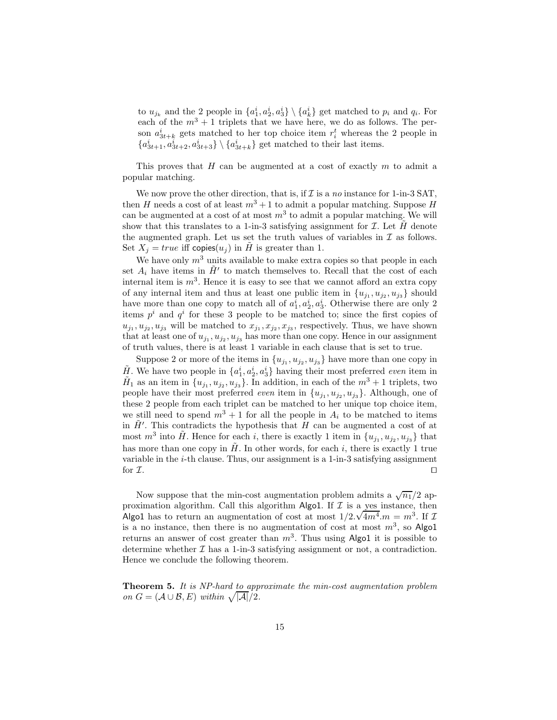to  $u_{j_k}$  and the 2 people in  $\{a_1^i, a_2^i, a_3^i\} \setminus \{a_k^i\}$  get matched to  $p_i$  and  $q_i$ . For each of the  $m^3 + 1$  triplets that we have here, we do as follows. The person  $a_{3t+k}^i$  gets matched to her top choice item  $r_i^t$  whereas the 2 people in  ${a_{3t+1}^i, a_{3t+2}^i, a_{3t+3}^i\} \setminus {a_{3t+k}^i}$  get matched to their last items.

This proves that  $H$  can be augmented at a cost of exactly  $m$  to admit a popular matching.

We now prove the other direction, that is, if  $\mathcal I$  is a no instance for 1-in-3 SAT. then H needs a cost of at least  $m^3 + 1$  to admit a popular matching. Suppose H can be augmented at a cost of at most  $m^3$  to admit a popular matching. We will show that this translates to a 1-in-3 satisfying assignment for  $\mathcal I$ . Let  $\tilde H$  denote the augmented graph. Let us set the truth values of variables in  $\mathcal I$  as follows. Set  $X_j = true$  iff copies $(u_j)$  in H is greater than 1.

We have only  $m<sup>3</sup>$  units available to make extra copies so that people in each set  $A_i$  have items in  $\tilde{H}'$  to match themselves to. Recall that the cost of each internal item is  $m^3$ . Hence it is easy to see that we cannot afford an extra copy of any internal item and thus at least one public item in  $\{u_{j_1}, u_{j_2}, u_{j_3}\}$  should have more than one copy to match all of  $a_1^i, a_2^i, a_3^i$ . Otherwise there are only 2 items  $p^i$  and  $q^i$  for these 3 people to be matched to; since the first copies of  $u_{j_1}, u_{j_2}, u_{j_3}$  will be matched to  $x_{j_1}, x_{j_2}, x_{j_3}$ , respectively. Thus, we have shown that at least one of  $u_{j_1}, u_{j_2}, u_{j_3}$  has more than one copy. Hence in our assignment of truth values, there is at least 1 variable in each clause that is set to true.

Suppose 2 or more of the items in  $\{u_{j_1}, u_{j_2}, u_{j_3}\}$  have more than one copy in  $\tilde{H}$ . We have two people in  $\{a_1^i, a_2^i, a_3^i\}$  having their most preferred even item in  $\tilde{H}_1$  as an item in  $\{u_{j_1}, u_{j_2}, u_{j_3}\}$ . In addition, in each of the  $m^3 + 1$  triplets, two people have their most preferred *even* item in  $\{u_{j_1}, u_{j_2}, u_{j_3}\}\$ . Although, one of these 2 people from each triplet can be matched to her unique top choice item, we still need to spend  $m^3 + 1$  for all the people in  $A_i$  to be matched to items in  $\tilde{H}'$ . This contradicts the hypothesis that H can be augmented a cost of at most  $m^3$  into  $\tilde{H}$ . Hence for each i, there is exactly 1 item in  $\{u_{j_1}, u_{j_2}, u_{j_3}\}\$  that has more than one copy in  $H$ . In other words, for each i, there is exactly 1 true variable in the  $i$ -th clause. Thus, our assignment is a 1-in-3 satisfying assignment for  $\mathcal{I}.$ 

Now suppose that the min-cost augmentation problem admits a  $\sqrt{n_1}/2$  approximation algorithm. Call this algorithm Algo1. If  $\mathcal I$  is a yes instance, then Algo1 has to return an augmentation of cost at most  $1/2.\sqrt{4m^4}.m = m^3$ . If  $\mathcal{I}$ is a no instance, then there is no augmentation of cost at most  $m^3$ , so Algo1 returns an answer of cost greater than  $m^3$ . Thus using Algo1 it is possible to determine whether  $\mathcal I$  has a 1-in-3 satisfying assignment or not, a contradiction. Hence we conclude the following theorem.

Theorem 5. It is NP-hard to approximate the min-cost augmentation problem on  $G = (\mathcal{A} \cup \mathcal{B}, E)$  within  $\sqrt{|\mathcal{A}|}/2$ .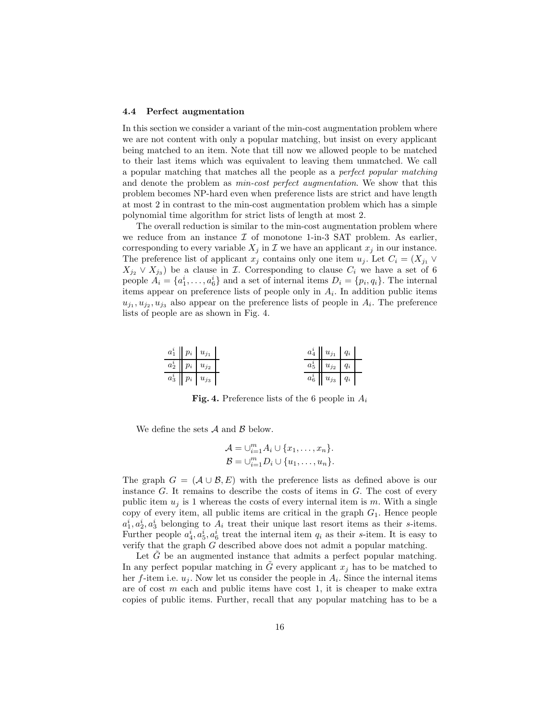### 4.4 Perfect augmentation

In this section we consider a variant of the min-cost augmentation problem where we are not content with only a popular matching, but insist on every applicant being matched to an item. Note that till now we allowed people to be matched to their last items which was equivalent to leaving them unmatched. We call a popular matching that matches all the people as a perfect popular matching and denote the problem as *min-cost perfect augmentation*. We show that this problem becomes NP-hard even when preference lists are strict and have length at most 2 in contrast to the min-cost augmentation problem which has a simple polynomial time algorithm for strict lists of length at most 2.

The overall reduction is similar to the min-cost augmentation problem where we reduce from an instance  $\mathcal I$  of monotone 1-in-3 SAT problem. As earlier, corresponding to every variable  $X_j$  in  $\mathcal I$  we have an applicant  $x_j$  in our instance. The preference list of applicant  $x_j$  contains only one item  $u_j$ . Let  $C_i = (X_{j1} \vee$  $X_{j_2} \vee X_{j_3}$  be a clause in *I*. Corresponding to clause  $C_i$  we have a set of 6 people  $A_i = \{a_1^i, \ldots, a_6^i\}$  and a set of internal items  $D_i = \{p_i, q_i\}$ . The internal items appear on preference lists of people only in  $A_i$ . In addition public items  $u_{j_1}, u_{j_2}, u_{j_3}$  also appear on the preference lists of people in  $A_i$ . The preference lists of people are as shown in Fig. 4.

| $a_1^i \mid p_i \mid u_{j_1}$         |  | $a_4^i \parallel u_{j_1} \parallel q_i$        |  |
|---------------------------------------|--|------------------------------------------------|--|
| $a_2^i\quad p_i\quad u_{j_2}$         |  | $a_5^i\parallel u_{j_2}\parallel q_i$ l        |  |
| $a_3^i\parallel p_i\parallel u_{j_3}$ |  | $a_6^i\parallel u_{j_3}\parallel q_i\parallel$ |  |

**Fig. 4.** Preference lists of the 6 people in  $A_i$ 

We define the sets  $A$  and  $B$  below.

$$
\mathcal{A} = \bigcup_{i=1}^{m} A_i \cup \{x_1, \dots, x_n\}.
$$

$$
\mathcal{B} = \bigcup_{i=1}^{m} D_i \cup \{u_1, \dots, u_n\}.
$$

The graph  $G = (\mathcal{A} \cup \mathcal{B}, E)$  with the preference lists as defined above is our instance  $G$ . It remains to describe the costs of items in  $G$ . The cost of every public item  $u_i$  is 1 whereas the costs of every internal item is m. With a single copy of every item, all public items are critical in the graph  $G_1$ . Hence people  $a_1^i, a_2^i, a_3^i$  belonging to  $A_i$  treat their unique last resort items as their s-items. Further people  $a_4^i, a_5^i, a_6^i$  treat the internal item  $q_i$  as their s-item. It is easy to verify that the graph G described above does not admit a popular matching.

Let  $\tilde{G}$  be an augmented instance that admits a perfect popular matching. In any perfect popular matching in  $G$  every applicant  $x_j$  has to be matched to her f-item i.e.  $u_j$ . Now let us consider the people in  $A_i$ . Since the internal items are of cost  $m$  each and public items have cost 1, it is cheaper to make extra copies of public items. Further, recall that any popular matching has to be a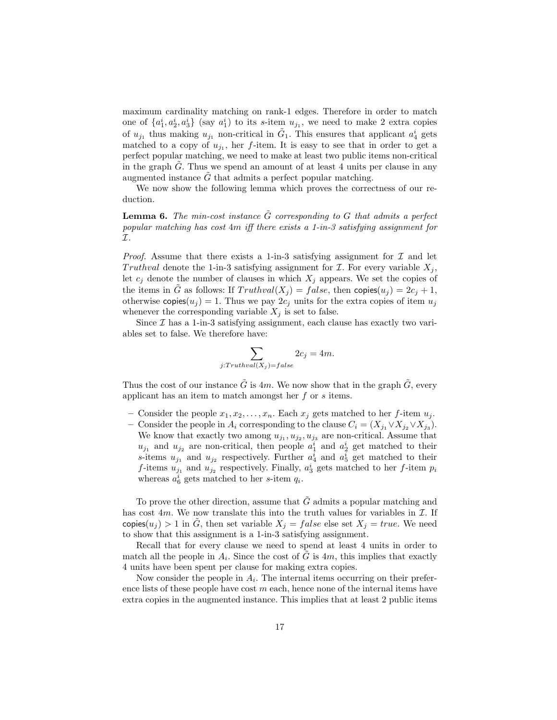maximum cardinality matching on rank-1 edges. Therefore in order to match one of  $\{a_1^i, a_2^i, a_3^i\}$  (say  $a_1^i$ ) to its s-item  $u_{j_1}$ , we need to make 2 extra copies of  $u_{j_1}$  thus making  $u_{j_1}$  non-critical in  $\tilde{G}_1$ . This ensures that applicant  $a_4^i$  gets matched to a copy of  $u_{j_1}$ , her f-item. It is easy to see that in order to get a perfect popular matching, we need to make at least two public items non-critical in the graph  $G$ . Thus we spend an amount of at least 4 units per clause in any augmented instance  $G$  that admits a perfect popular matching.

We now show the following lemma which proves the correctness of our reduction.

**Lemma 6.** The min-cost instance  $\tilde{G}$  corresponding to G that admits a perfect popular matching has cost 4m iff there exists a 1-in-3 satisfying assignment for I.

*Proof.* Assume that there exists a 1-in-3 satisfying assignment for  $\mathcal I$  and let Truthval denote the 1-in-3 satisfying assignment for  $\mathcal I$ . For every variable  $X_i$ , let  $c_j$  denote the number of clauses in which  $X_j$  appears. We set the copies of the items in G as follows: If  $Truthval(X_i) = false$ , then copies $(u_i) = 2c_i + 1$ , otherwise copies $(u_j) = 1$ . Thus we pay  $2c_j$  units for the extra copies of item  $u_j$ whenever the corresponding variable  $X_j$  is set to false.

Since  $\mathcal I$  has a 1-in-3 satisfying assignment, each clause has exactly two variables set to false. We therefore have:

$$
\sum_{j: Truthval(X_j) = false} 2c_j = 4m.
$$

Thus the cost of our instance  $\tilde{G}$  is 4m. We now show that in the graph  $\tilde{G}$ , every applicant has an item to match amongst her f or s items.

- Consider the people  $x_1, x_2, \ldots, x_n$ . Each  $x_j$  gets matched to her f-item  $u_j$ .
- Consider the people in  $A_i$  corresponding to the clause  $C_i = (X_{j_1} \vee X_{j_2} \vee X_{j_3}).$ We know that exactly two among  $u_{j_1}, u_{j_2}, u_{j_3}$  are non-critical. Assume that  $u_{j_1}$  and  $u_{j_2}$  are non-critical, then people  $a_1^i$  and  $a_2^i$  get matched to their s-items  $u_{j_1}$  and  $u_{j_2}$  respectively. Further  $a_4^i$  and  $a_5^i$  get matched to their *f*-items  $u_{j_1}$  and  $u_{j_2}$  respectively. Finally,  $a_3^i$  gets matched to her *f*-item  $p_i$ whereas  $a_6^i$  gets matched to her s-item  $q_i$ .

To prove the other direction, assume that  $\tilde{G}$  admits a popular matching and has cost  $4m$ . We now translate this into the truth values for variables in  $\mathcal{I}$ . If copies $(u_j) > 1$  in G, then set variable  $X_j = false$  else set  $X_j = true$ . We need to show that this assignment is a 1-in-3 satisfying assignment.

Recall that for every clause we need to spend at least 4 units in order to match all the people in  $A_i$ . Since the cost of  $\tilde{G}$  is 4m, this implies that exactly 4 units have been spent per clause for making extra copies.

Now consider the people in  $A_i$ . The internal items occurring on their preference lists of these people have cost  $m$  each, hence none of the internal items have extra copies in the augmented instance. This implies that at least 2 public items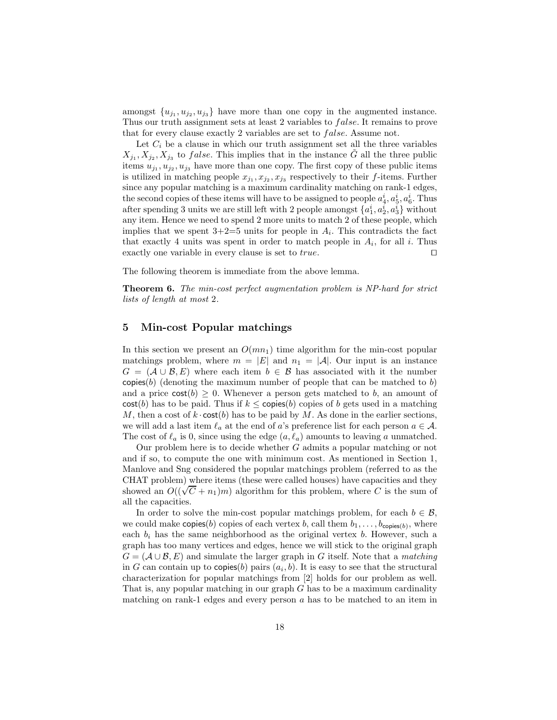amongst  $\{u_{j_1}, u_{j_2}, u_{j_3}\}\$  have more than one copy in the augmented instance. Thus our truth assignment sets at least 2 variables to *false*. It remains to prove that for every clause exactly 2 variables are set to *false*. Assume not.

Let  $C_i$  be a clause in which our truth assignment set all the three variables  $X_{j_1}, X_{j_2}, X_{j_3}$  to *false*. This implies that in the instance  $\tilde{G}$  all the three public items  $u_{j_1}, u_{j_2}, u_{j_3}$  have more than one copy. The first copy of these public items is utilized in matching people  $x_{j_1}, x_{j_2}, x_{j_3}$  respectively to their f-items. Further since any popular matching is a maximum cardinality matching on rank-1 edges, the second copies of these items will have to be assigned to people  $a_4^i, a_5^i, a_6^i$ . Thus after spending 3 units we are still left with 2 people amongst  $\{a_1^i, a_2^i, a_3^i\}$  without any item. Hence we need to spend 2 more units to match 2 of these people, which implies that we spent  $3+2=5$  units for people in  $A_i$ . This contradicts the fact that exactly 4 units was spent in order to match people in  $A_i$ , for all i. Thus exactly one variable in every clause is set to true.  $□$ 

The following theorem is immediate from the above lemma.

Theorem 6. The min-cost perfect augmentation problem is NP-hard for strict lists of length at most 2.

### 5 Min-cost Popular matchings

In this section we present an  $O(mn_1)$  time algorithm for the min-cost popular matchings problem, where  $m = |E|$  and  $n_1 = |A|$ . Our input is an instance  $G = (\mathcal{A} \cup \mathcal{B}, E)$  where each item  $b \in \mathcal{B}$  has associated with it the number copies(b) (denoting the maximum number of people that can be matched to b) and a price  $cost(b) \geq 0$ . Whenever a person gets matched to b, an amount of  $cost(b)$  has to be paid. Thus if  $k \leq$  copies(b) copies of b gets used in a matching M, then a cost of  $k \cdot \text{cost}(b)$  has to be paid by M. As done in the earlier sections, we will add a last item  $\ell_a$  at the end of a's preference list for each person  $a \in \mathcal{A}$ . The cost of  $\ell_a$  is 0, since using the edge  $(a, \ell_a)$  amounts to leaving a unmatched.

Our problem here is to decide whether G admits a popular matching or not and if so, to compute the one with minimum cost. As mentioned in Section 1, Manlove and Sng considered the popular matchings problem (referred to as the CHAT problem) where items (these were called houses) have capacities and they showed an  $O((\sqrt{C} + n_1)m)$  algorithm for this problem, where C is the sum of all the capacities.

In order to solve the min-cost popular matchings problem, for each  $b \in \mathcal{B}$ , we could make copies(b) copies of each vertex b, call them  $b_1, \ldots, b_{\text{copies}(b)}$ , where each  $b_i$  has the same neighborhood as the original vertex b. However, such a graph has too many vertices and edges, hence we will stick to the original graph  $G = (\mathcal{A} \cup \mathcal{B}, E)$  and simulate the larger graph in G itself. Note that a matching in G can contain up to copies(b) pairs  $(a_i, b)$ . It is easy to see that the structural characterization for popular matchings from [2] holds for our problem as well. That is, any popular matching in our graph  $G$  has to be a maximum cardinality matching on rank-1 edges and every person  $a$  has to be matched to an item in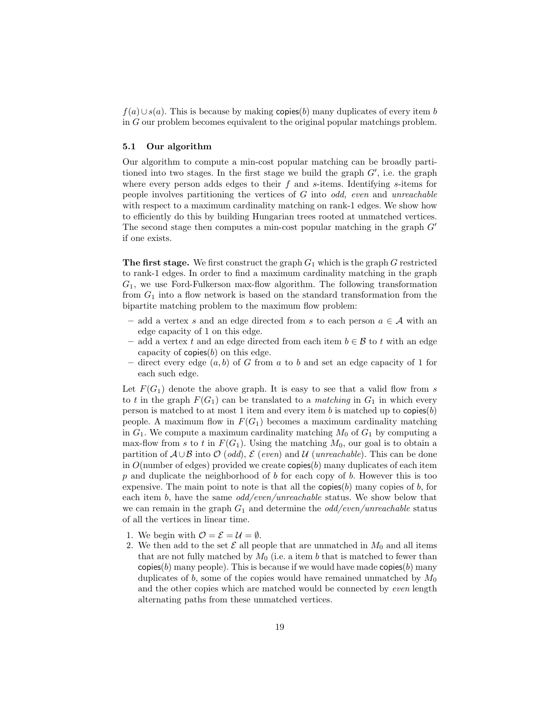$f(a) \cup s(a)$ . This is because by making copies(b) many duplicates of every item b in G our problem becomes equivalent to the original popular matchings problem.

### 5.1 Our algorithm

Our algorithm to compute a min-cost popular matching can be broadly partitioned into two stages. In the first stage we build the graph  $G'$ , i.e. the graph where every person adds edges to their  $f$  and  $s$ -items. Identifying  $s$ -items for people involves partitioning the vertices of  $G$  into odd, even and unreachable with respect to a maximum cardinality matching on rank-1 edges. We show how to efficiently do this by building Hungarian trees rooted at unmatched vertices. The second stage then computes a min-cost popular matching in the graph  $G'$ if one exists.

**The first stage.** We first construct the graph  $G_1$  which is the graph G restricted to rank-1 edges. In order to find a maximum cardinality matching in the graph  $G_1$ , we use Ford-Fulkerson max-flow algorithm. The following transformation from  $G_1$  into a flow network is based on the standard transformation from the bipartite matching problem to the maximum flow problem:

- add a vertex s and an edge directed from s to each person  $a \in \mathcal{A}$  with an edge capacity of 1 on this edge.
- add a vertex t and an edge directed from each item  $b \in \mathcal{B}$  to t with an edge capacity of  $\text{copies}(b)$  on this edge.
- direct every edge  $(a, b)$  of G from a to b and set an edge capacity of 1 for each such edge.

Let  $F(G_1)$  denote the above graph. It is easy to see that a valid flow from s to t in the graph  $F(G_1)$  can be translated to a *matching* in  $G_1$  in which every person is matched to at most 1 item and every item b is matched up to  $\text{copies}(b)$ people. A maximum flow in  $F(G_1)$  becomes a maximum cardinality matching in  $G_1$ . We compute a maximum cardinality matching  $M_0$  of  $G_1$  by computing a max-flow from s to t in  $F(G_1)$ . Using the matching  $M_0$ , our goal is to obtain a partition of  $\mathcal{A} \cup \mathcal{B}$  into  $\mathcal{O}$  (odd),  $\mathcal{E}$  (even) and  $\mathcal{U}$  (unreachable). This can be done in  $O(n$ umber of edges) provided we create copies $(b)$  many duplicates of each item  $p$  and duplicate the neighborhood of  $b$  for each copy of  $b$ . However this is too expensive. The main point to note is that all the copies(b) many copies of b, for each item b, have the same *odd/even/unreachable* status. We show below that we can remain in the graph  $G_1$  and determine the *odd/even/unreachable* status of all the vertices in linear time.

- 1. We begin with  $\mathcal{O} = \mathcal{E} = \mathcal{U} = \emptyset$ .
- 2. We then add to the set  $\mathcal E$  all people that are unmatched in  $M_0$  and all items that are not fully matched by  $M_0$  (i.e. a item b that is matched to fewer than  $\mathsf{copies}(b)$  many people). This is because if we would have made copies $(b)$  many duplicates of b, some of the copies would have remained unmatched by  $M_0$ and the other copies which are matched would be connected by even length alternating paths from these unmatched vertices.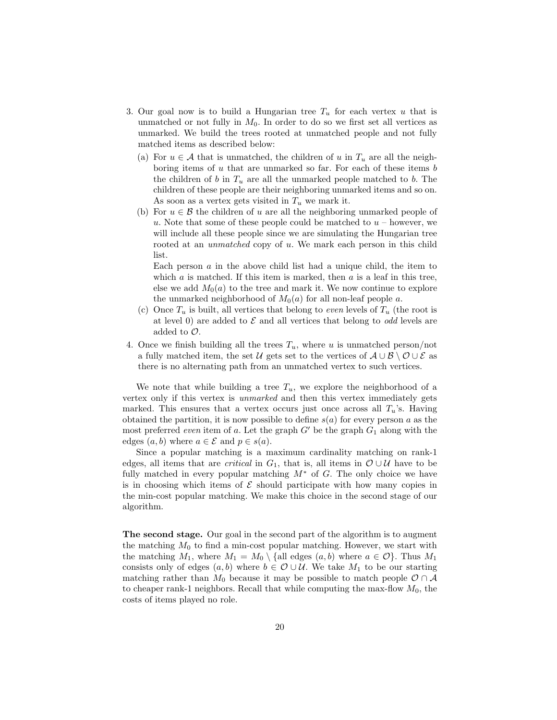- 3. Our goal now is to build a Hungarian tree  $T_u$  for each vertex u that is unmatched or not fully in  $M_0$ . In order to do so we first set all vertices as unmarked. We build the trees rooted at unmatched people and not fully matched items as described below:
	- (a) For  $u \in \mathcal{A}$  that is unmatched, the children of u in  $T_u$  are all the neighboring items of  $u$  that are unmarked so far. For each of these items  $b$ the children of b in  $T_u$  are all the unmarked people matched to b. The children of these people are their neighboring unmarked items and so on. As soon as a vertex gets visited in  $T_u$  we mark it.
	- (b) For  $u \in \mathcal{B}$  the children of u are all the neighboring unmarked people of u. Note that some of these people could be matched to  $u$  – however, we will include all these people since we are simulating the Hungarian tree rooted at an *unmatched* copy of u. We mark each person in this child list.

Each person  $a$  in the above child list had a unique child, the item to which  $a$  is matched. If this item is marked, then  $a$  is a leaf in this tree, else we add  $M_0(a)$  to the tree and mark it. We now continue to explore the unmarked neighborhood of  $M_0(a)$  for all non-leaf people a.

- (c) Once  $T_u$  is built, all vertices that belong to *even* levels of  $T_u$  (the root is at level 0) are added to  $\mathcal E$  and all vertices that belong to *odd* levels are added to  $\mathcal{O}$ .
- 4. Once we finish building all the trees  $T_u$ , where u is unmatched person/not a fully matched item, the set U gets set to the vertices of  $\mathcal{A} \cup \mathcal{B} \setminus \mathcal{O} \cup \mathcal{E}$  as there is no alternating path from an unmatched vertex to such vertices.

We note that while building a tree  $T_u$ , we explore the neighborhood of a vertex only if this vertex is unmarked and then this vertex immediately gets marked. This ensures that a vertex occurs just once across all  $T_u$ 's. Having obtained the partition, it is now possible to define  $s(a)$  for every person a as the most preferred even item of a. Let the graph  $G'$  be the graph  $G_1$  along with the edges  $(a, b)$  where  $a \in \mathcal{E}$  and  $p \in s(a)$ .

Since a popular matching is a maximum cardinality matching on rank-1 edges, all items that are *critical* in  $G_1$ , that is, all items in  $\mathcal{O} \cup \mathcal{U}$  have to be fully matched in every popular matching  $M^*$  of G. The only choice we have is in choosing which items of  $\mathcal E$  should participate with how many copies in the min-cost popular matching. We make this choice in the second stage of our algorithm.

The second stage. Our goal in the second part of the algorithm is to augment the matching  $M_0$  to find a min-cost popular matching. However, we start with the matching  $M_1$ , where  $M_1 = M_0 \setminus \{ \text{all edges } (a, b) \text{ where } a \in \mathcal{O} \}$ . Thus  $M_1$ consists only of edges  $(a, b)$  where  $b \in \mathcal{O} \cup \mathcal{U}$ . We take  $M_1$  to be our starting matching rather than  $M_0$  because it may be possible to match people  $\mathcal{O} \cap \mathcal{A}$ to cheaper rank-1 neighbors. Recall that while computing the max-flow  $M_0$ , the costs of items played no role.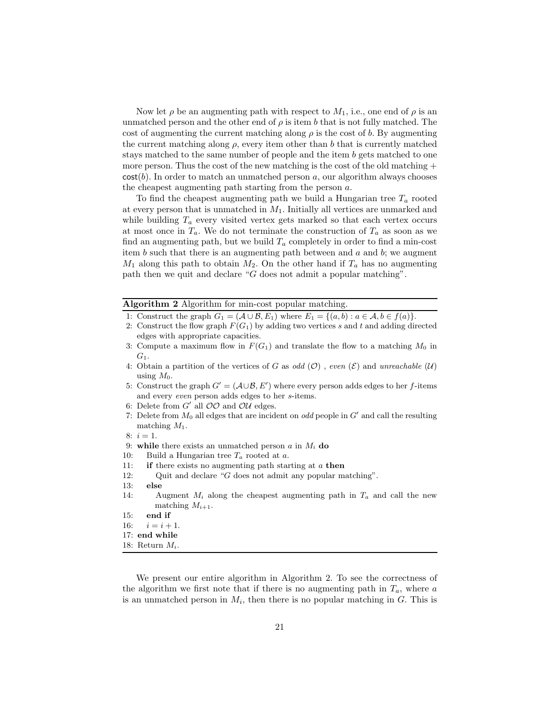Now let  $\rho$  be an augmenting path with respect to  $M_1$ , i.e., one end of  $\rho$  is an unmatched person and the other end of  $\rho$  is item b that is not fully matched. The cost of augmenting the current matching along  $\rho$  is the cost of b. By augmenting the current matching along  $\rho$ , every item other than b that is currently matched stays matched to the same number of people and the item b gets matched to one more person. Thus the cost of the new matching is the cost of the old matching  $+$  $cost(b)$ . In order to match an unmatched person a, our algorithm always chooses the cheapest augmenting path starting from the person a.

To find the cheapest augmenting path we build a Hungarian tree  $T_a$  rooted at every person that is unmatched in  $M_1$ . Initially all vertices are unmarked and while building  $T_a$  every visited vertex gets marked so that each vertex occurs at most once in  $T_a$ . We do not terminate the construction of  $T_a$  as soon as we find an augmenting path, but we build  $T_a$  completely in order to find a min-cost item b such that there is an augmenting path between and  $a$  and  $b$ ; we augment  $M_1$  along this path to obtain  $M_2$ . On the other hand if  $T_a$  has no augmenting path then we quit and declare "G does not admit a popular matching".

### Algorithm 2 Algorithm for min-cost popular matching.

- 1: Construct the graph  $G_1 = (\mathcal{A} \cup \mathcal{B}, E_1)$  where  $E_1 = \{(a, b) : a \in \mathcal{A}, b \in f(a)\}.$
- 2: Construct the flow graph  $F(G_1)$  by adding two vertices s and t and adding directed edges with appropriate capacities.
- 3: Compute a maximum flow in  $F(G_1)$  and translate the flow to a matching  $M_0$  in  $G_1$ .
- 4: Obtain a partition of the vertices of G as odd  $(\mathcal{O})$ , even  $(\mathcal{E})$  and unreachable  $(\mathcal{U})$ using  $M_0$ .
- 5: Construct the graph  $G' = (\mathcal{A} \cup \mathcal{B}, E')$  where every person adds edges to her f-items and every even person adds edges to her s-items.
- 6: Delete from  $G'$  all  $OO$  and  $OU$  edges.
- 7: Delete from  $M_0$  all edges that are incident on *odd* people in  $G'$  and call the resulting matching  $M_1$ .
- $8: i = 1.$
- 9: while there exists an unmatched person  $a$  in  $M_i$  do
- 10: Build a Hungarian tree  $T_a$  rooted at a.
- 11: **if** there exists no augmenting path starting at  $a$  then
- 12: Quit and declare "G does not admit any popular matching".
- 13: else
- 14: Augment  $M_i$  along the cheapest augmenting path in  $T_a$  and call the new matching  $M_{i+1}$ .
- 15: end if
- 16:  $i = i + 1$ .
- 17: end while
- 18: Return  $M_i$ .

We present our entire algorithm in Algorithm 2. To see the correctness of the algorithm we first note that if there is no augmenting path in  $T_a$ , where a is an unmatched person in  $M_i$ , then there is no popular matching in G. This is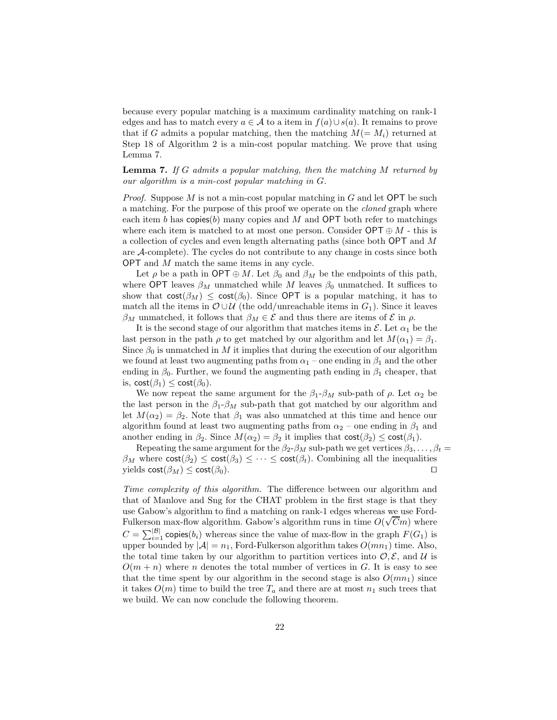because every popular matching is a maximum cardinality matching on rank-1 edges and has to match every  $a \in \mathcal{A}$  to a item in  $f(a) \cup s(a)$ . It remains to prove that if G admits a popular matching, then the matching  $M(=M_i)$  returned at Step 18 of Algorithm 2 is a min-cost popular matching. We prove that using Lemma 7.

**Lemma 7.** If G admits a popular matching, then the matching  $M$  returned by our algorithm is a min-cost popular matching in G.

*Proof.* Suppose  $M$  is not a min-cost popular matching in  $G$  and let **OPT** be such a matching. For the purpose of this proof we operate on the cloned graph where each item b has copies $(b)$  many copies and M and OPT both refer to matchings where each item is matched to at most one person. Consider  $\mathsf{OPT} \oplus M$  - this is a collection of cycles and even length alternating paths (since both OPT and M are A-complete). The cycles do not contribute to any change in costs since both OPT and M match the same items in any cycle.

Let  $\rho$  be a path in OPT  $\oplus M$ . Let  $\beta_0$  and  $\beta_M$  be the endpoints of this path, where OPT leaves  $\beta_M$  unmatched while M leaves  $\beta_0$  unmatched. It suffices to show that  $\text{cost}(\beta_M) \leq \text{cost}(\beta_0)$ . Since OPT is a popular matching, it has to match all the items in  $\mathcal{O} \cup \mathcal{U}$  (the odd/unreachable items in  $G_1$ ). Since it leaves  $β_M$  unmatched, it follows that  $β_M ∈ Ε$  and thus there are items of  $E$  in  $ρ$ .

It is the second stage of our algorithm that matches items in  $\mathcal{E}$ . Let  $\alpha_1$  be the last person in the path  $\rho$  to get matched by our algorithm and let  $M(\alpha_1) = \beta_1$ . Since  $\beta_0$  is unmatched in M it implies that during the execution of our algorithm we found at least two augmenting paths from  $\alpha_1$  – one ending in  $\beta_1$  and the other ending in  $\beta_0$ . Further, we found the augmenting path ending in  $\beta_1$  cheaper, that is,  $cost(\beta_1) \leq cost(\beta_0)$ .

We now repeat the same argument for the  $\beta_1-\beta_M$  sub-path of  $\rho$ . Let  $\alpha_2$  be the last person in the  $\beta_1 - \beta_M$  sub-path that got matched by our algorithm and let  $M(\alpha_2) = \beta_2$ . Note that  $\beta_1$  was also unmatched at this time and hence our algorithm found at least two augmenting paths from  $\alpha_2$  – one ending in  $\beta_1$  and another ending in  $\beta_2$ . Since  $M(\alpha_2) = \beta_2$  it implies that  $\text{cost}(\beta_2) \leq \text{cost}(\beta_1)$ .

Repeating the same argument for the  $\beta_2-\beta_M$  sub-path we get vertices  $\beta_3, \ldots, \beta_t =$  $\beta_M$  where  $\text{cost}(\beta_2) \leq \text{cost}(\beta_3) \leq \cdots \leq \text{cost}(\beta_t)$ . Combining all the inequalities vields  $\text{cost}(\beta_M) \leq \text{cost}(\beta_0)$ . yields  $\text{cost}(\beta_M) \leq \text{cost}(\beta_0)$ .

Time complexity of this algorithm. The difference between our algorithm and that of Manlove and Sng for the CHAT problem in the first stage is that they use Gabow's algorithm to find a matching on rank-1 edges whereas we use Ford-Fulkerson max-flow algorithm. Gabow's algorithm runs in time  $O(\sqrt{C}m)$  where  $C = \sum_{i=1}^{|\mathcal{B}|}$  copies(b<sub>i</sub>) whereas since the value of max-flow in the graph  $F(G_1)$  is upper bounded by  $|\mathcal{A}| = n_1$ , Ford-Fulkerson algorithm takes  $O(mn_1)$  time. Also, the total time taken by our algorithm to partition vertices into  $\mathcal{O}, \mathcal{E}$ , and U is  $O(m + n)$  where n denotes the total number of vertices in G. It is easy to see that the time spent by our algorithm in the second stage is also  $O(mn_1)$  since it takes  $O(m)$  time to build the tree  $T_a$  and there are at most  $n_1$  such trees that we build. We can now conclude the following theorem.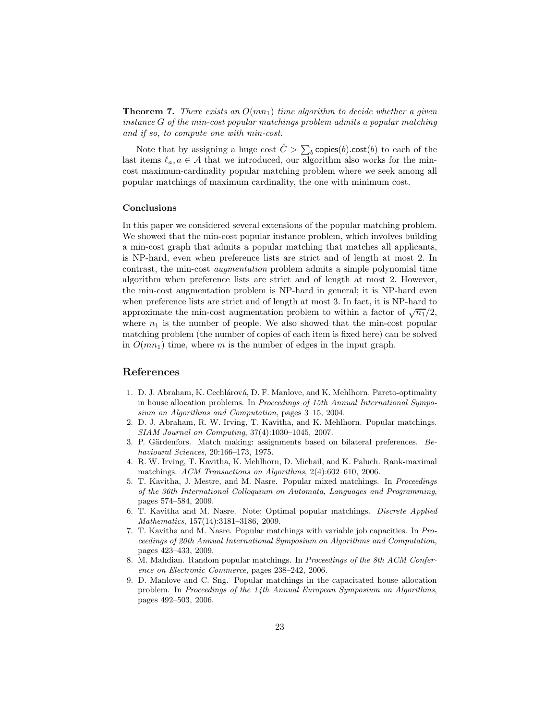**Theorem 7.** There exists an  $O(mn_1)$  time algorithm to decide whether a given instance G of the min-cost popular matchings problem admits a popular matching and if so, to compute one with min-cost.

Note that by assigning a huge cost  $\hat{C} > \sum_{b}$  copies(b).cost(b) to each of the last items  $\ell_a, a \in \mathcal{A}$  that we introduced, our algorithm also works for the mincost maximum-cardinality popular matching problem where we seek among all popular matchings of maximum cardinality, the one with minimum cost.

### Conclusions

In this paper we considered several extensions of the popular matching problem. We showed that the min-cost popular instance problem, which involves building a min-cost graph that admits a popular matching that matches all applicants, is NP-hard, even when preference lists are strict and of length at most 2. In contrast, the min-cost augmentation problem admits a simple polynomial time algorithm when preference lists are strict and of length at most 2. However, the min-cost augmentation problem is NP-hard in general; it is NP-hard even when preference lists are strict and of length at most 3. In fact, it is NP-hard to approximate the min-cost augmentation problem to within a factor of  $\sqrt{n_1}/2$ , where  $n_1$  is the number of people. We also showed that the min-cost popular matching problem (the number of copies of each item is fixed here) can be solved in  $O(mn_1)$  time, where m is the number of edges in the input graph.

# References

- 1. D. J. Abraham, K. Cechlárová, D. F. Manlove, and K. Mehlhorn. Pareto-optimality in house allocation problems. In Proceedings of 15th Annual International Symposium on Algorithms and Computation, pages 3–15, 2004.
- 2. D. J. Abraham, R. W. Irving, T. Kavitha, and K. Mehlhorn. Popular matchings. SIAM Journal on Computing, 37(4):1030–1045, 2007.
- 3. P. Gärdenfors. Match making: assignments based on bilateral preferences. Behavioural Sciences, 20:166–173, 1975.
- 4. R. W. Irving, T. Kavitha, K. Mehlhorn, D. Michail, and K. Paluch. Rank-maximal matchings. ACM Transactions on Algorithms, 2(4):602–610, 2006.
- 5. T. Kavitha, J. Mestre, and M. Nasre. Popular mixed matchings. In Proceedings of the 36th International Colloquium on Automata, Languages and Programming, pages 574–584, 2009.
- 6. T. Kavitha and M. Nasre. Note: Optimal popular matchings. Discrete Applied Mathematics, 157(14):3181–3186, 2009.
- 7. T. Kavitha and M. Nasre. Popular matchings with variable job capacities. In Proceedings of 20th Annual International Symposium on Algorithms and Computation, pages 423–433, 2009.
- 8. M. Mahdian. Random popular matchings. In Proceedings of the 8th ACM Conference on Electronic Commerce, pages 238–242, 2006.
- 9. D. Manlove and C. Sng. Popular matchings in the capacitated house allocation problem. In Proceedings of the 14th Annual European Symposium on Algorithms, pages 492–503, 2006.